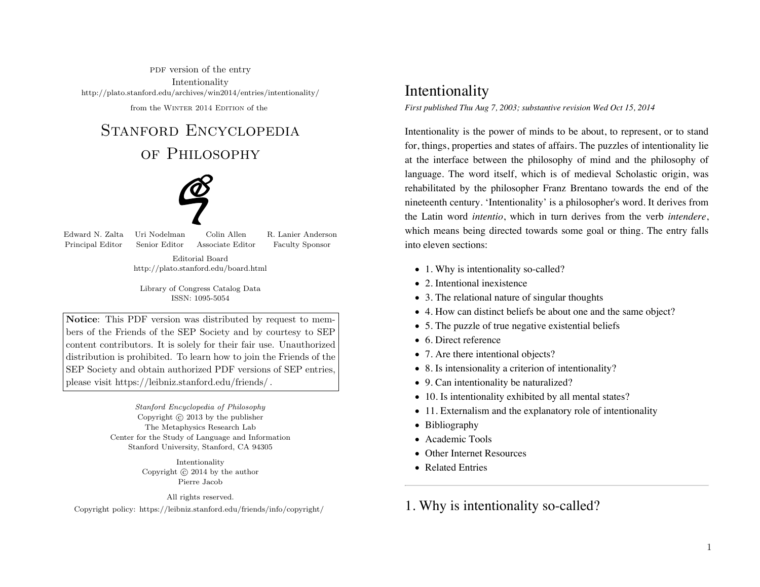PDF version of the entry Intentionalityhttp://plato.stanford.edu/archives/win2014/entries/intentionality/

from the WINTER 2014 EDITION of the

# STANFORD ENCYCLOPEDIA

# of Philosophy



Principal Editor Senior Editor Associate Editor Faculty Sponsor

Edward N. Zalta Uri Nodelman Colin Allen R. Lanier Anderson

Editorial Boardhttp://plato.stanford.edu/board.html

Library of Congress Catalog DataISSN: 1095-5054

Notice: This PDF version was distributed by request to members of the Friends of the SEP Society and by courtesy to SEP content contributors. It is solely for their fair use. Unauthorized distribution is prohibited. To learn how to join the Friends of the SEP Society and obtain authorized PDF versions of SEP entries,please visit https://leibniz.stanford.edu/friends/ .

> Stanford Encyclopedia of PhilosophyCopyright  $\odot$  2013 by the publisher The Metaphysics Research Lab Center for the Study of Language and InformationStanford University, Stanford, CA 94305

> > IntentionalityCopyright  $\odot$  2014 by the author Pierre Jacob

> > > All rights reserved.

Copyright policy: https://leibniz.stanford.edu/friends/info/copyright/

### Intentionality

*First published Thu Aug 7, 2003; substantive revision Wed Oct 15, 2014*

Intentionality is the power of minds to be about, to represent, or to stand for, things, properties and states of affairs. The puzzles of intentionality lie at the interface between the philosophy of mind and the philosophy of language. The word itself, which is of medieval Scholastic origin, was rehabilitated by the philosopher Franz Brentano towards the end of the nineteenth century. 'Intentionality' is a philosopher's word. It derives from the Latin word *intentio*, which in turn derives from the verb *intendere*, which means being directed towards some goal or thing. The entry falls into eleven sections:

- 1. Why is intentionality so-called?
- 2. Intentional inexistence
- 3. The relational nature of singular thoughts
- 4. How can distinct beliefs be about one and the same object?
- 5. The puzzle of true negative existential beliefs
- 6. Direct reference
- 7. Are there intentional objects?
- 8. Is intensionality a criterion of intentionality?
- 9. Can intentionality be naturalized?
- 10. Is intentionality exhibited by all mental states?
- 11. Externalism and the explanatory role of intentionality
- Bibliography
- Academic Tools
- Other Internet Resources
- Related Entries

1. Why is intentionality so-called?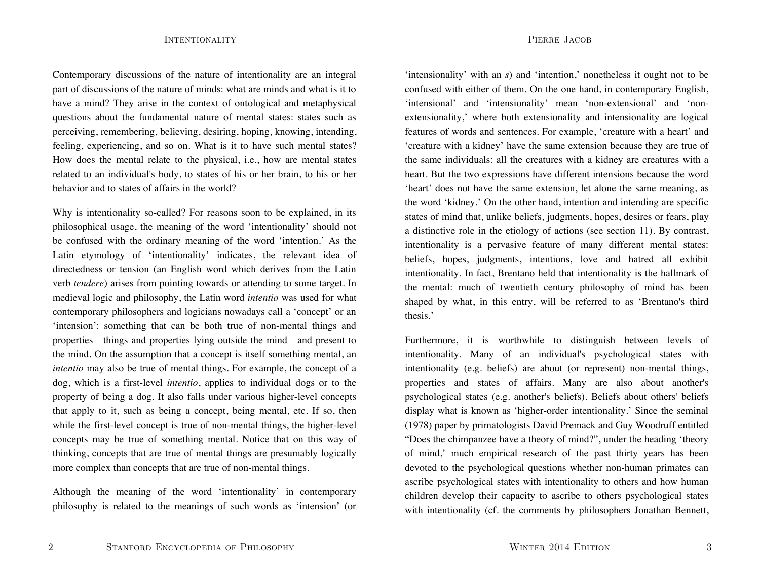Contemporary discussions of the nature of intentionality are an integral part of discussions of the nature of minds: what are minds and what is it to have a mind? They arise in the context of ontological and metaphysical questions about the fundamental nature of mental states: states such as perceiving, remembering, believing, desiring, hoping, knowing, intending, feeling, experiencing, and so on. What is it to have such mental states? How does the mental relate to the physical, i.e., how are mental states related to an individual's body, to states of his or her brain, to his or her behavior and to states of affairs in the world?

Why is intentionality so-called? For reasons soon to be explained, in its philosophical usage, the meaning of the word 'intentionality' should not be confused with the ordinary meaning of the word 'intention.' As the Latin etymology of 'intentionality' indicates, the relevant idea of directedness or tension (an English word which derives from the Latin verb *tendere*) arises from pointing towards or attending to some target. In medieval logic and philosophy, the Latin word *intentio* was used for what contemporary philosophers and logicians nowadays call a 'concept' or an 'intension': something that can be both true of non-mental things and properties—things and properties lying outside the mind—and present to the mind. On the assumption that a concept is itself something mental, an *intentio* may also be true of mental things. For example, the concept of a dog, which is a first-level *intentio*, applies to individual dogs or to the property of being a dog. It also falls under various higher-level concepts that apply to it, such as being a concept, being mental, etc. If so, then while the first-level concept is true of non-mental things, the higher-level concepts may be true of something mental. Notice that on this way of thinking, concepts that are true of mental things are presumably logically more complex than concepts that are true of non-mental things.

Although the meaning of the word 'intentionality' in contemporary philosophy is related to the meanings of such words as 'intension' (or

'intensionality' with an *s*) and 'intention,' nonetheless it ought not to be confused with either of them. On the one hand, in contemporary English, 'intensional' and 'intensionality' mean 'non-extensional' and 'nonextensionality,' where both extensionality and intensionality are logical features of words and sentences. For example, 'creature with a heart' and 'creature with a kidney' have the same extension because they are true of the same individuals: all the creatures with a kidney are creatures with a heart. But the two expressions have different intensions because the word 'heart' does not have the same extension, let alone the same meaning, as the word 'kidney.' On the other hand, intention and intending are specific states of mind that, unlike beliefs, judgments, hopes, desires or fears, play a distinctive role in the etiology of actions (see section 11). By contrast, intentionality is a pervasive feature of many different mental states: beliefs, hopes, judgments, intentions, love and hatred all exhibit intentionality. In fact, Brentano held that intentionality is the hallmark of the mental: much of twentieth century philosophy of mind has been shaped by what, in this entry, will be referred to as 'Brentano's third thesis.'

Furthermore, it is worthwhile to distinguish between levels of intentionality. Many of an individual's psychological states with intentionality (e.g. beliefs) are about (or represent) non-mental things, properties and states of affairs. Many are also about another's psychological states (e.g. another's beliefs). Beliefs about others' beliefs display what is known as 'higher-order intentionality.' Since the seminal (1978) paper by primatologists David Premack and Guy Woodruff entitled "Does the chimpanzee have a theory of mind?", under the heading 'theory of mind,' much empirical research of the past thirty years has been devoted to the psychological questions whether non-human primates can ascribe psychological states with intentionality to others and how human children develop their capacity to ascribe to others psychological states with intentionality (cf. the comments by philosophers Jonathan Bennett,

2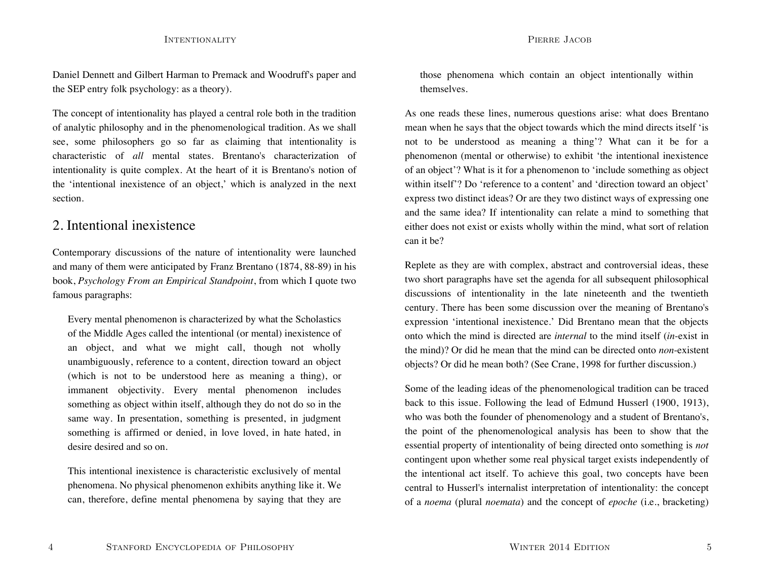Daniel Dennett and Gilbert Harman to Premack and Woodruff's paper and the SEP entry folk psychology: as a theory).

The concept of intentionality has played a central role both in the tradition of analytic philosophy and in the phenomenological tradition. As we shall see, some philosophers go so far as claiming that intentionality is characteristic of *all* mental states. Brentano's characterization ofintentionality is quite complex. At the heart of it is Brentano's notion of the 'intentional inexistence of an object,' which is analyzed in the next section.

### 2. Intentional inexistence

Contemporary discussions of the nature of intentionality were launched and many of them were anticipated by Franz Brentano (1874, 88-89) in his book, *Psychology From an Empirical Standpoint*, from which I quote two famous paragraphs:

Every mental phenomenon is characterized by what the Scholastics of the Middle Ages called the intentional (or mental) inexistence of an object, and what we might call, though not wholly unambiguously, reference to a content, direction toward an object (which is not to be understood here as meaning a thing), or immanent objectivity. Every mental phenomenon includes something as object within itself, although they do not do so in the same way. In presentation, something is presented, in judgment something is affirmed or denied, in love loved, in hate hated, in desire desired and so on.

This intentional inexistence is characteristic exclusively of mental phenomena. No physical phenomenon exhibits anything like it. We can, therefore, define mental phenomena by saying that they are those phenomena which contain an object intentionally within themselves.

As one reads these lines, numerous questions arise: what does Brentano mean when he says that the object towards which the mind directs itself 'is not to be understood as meaning a thing'? What can it be for a phenomenon (mental or otherwise) to exhibit 'the intentional inexistence of an object'? What is it for a phenomenon to 'include something as object within itself'? Do 'reference to a content' and 'direction toward an object' express two distinct ideas? Or are they two distinct ways of expressing one and the same idea? If intentionality can relate a mind to something that either does not exist or exists wholly within the mind, what sort of relation can it be?

Replete as they are with complex, abstract and controversial ideas, these two short paragraphs have set the agenda for all subsequent philosophical discussions of intentionality in the late nineteenth and the twentieth century. There has been some discussion over the meaning of Brentano's expression 'intentional inexistence.' Did Brentano mean that the objects onto which the mind is directed are *internal* to the mind itself (*in*-exist in the mind)? Or did he mean that the mind can be directed onto *non*-existent objects? Or did he mean both? (See Crane, 1998 for further discussion.)

Some of the leading ideas of the phenomenological tradition can be traced back to this issue. Following the lead of Edmund Husserl (1900, 1913), who was both the founder of phenomenology and a student of Brentano's, the point of the phenomenological analysis has been to show that the essential property of intentionality of being directed onto something is *not* contingent upon whether some real physical target exists independently of the intentional act itself. To achieve this goal, two concepts have been central to Husserl's internalist interpretation of intentionality: the concept of a *noema* (plural *noemata*) and the concept of *epoche* (i.e., bracketing)

4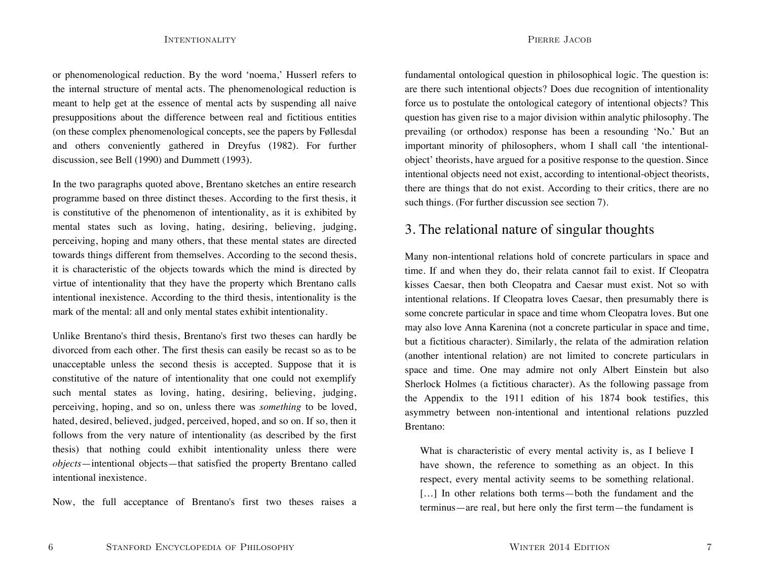or phenomenological reduction. By the word 'noema,' Husserl refers to the internal structure of mental acts. The phenomenological reduction is meant to help get at the essence of mental acts by suspending all naive presuppositions about the difference between real and fictitious entities (on these complex phenomenological concepts, see the papers by Føllesdal and others conveniently gathered in Dreyfus (1982). For further discussion, see Bell (1990) and Dummett (1993).

In the two paragraphs quoted above, Brentano sketches an entire research programme based on three distinct theses. According to the first thesis, it is constitutive of the phenomenon of intentionality, as it is exhibited by mental states such as loving, hating, desiring, believing, judging, perceiving, hoping and many others, that these mental states are directed towards things different from themselves. According to the second thesis, it is characteristic of the objects towards which the mind is directed by virtue of intentionality that they have the property which Brentano calls intentional inexistence. According to the third thesis, intentionality is the mark of the mental: all and only mental states exhibit intentionality.

Unlike Brentano's third thesis, Brentano's first two theses can hardly be divorced from each other. The first thesis can easily be recast so as to be unacceptable unless the second thesis is accepted. Suppose that it is constitutive of the nature of intentionality that one could not exemplify such mental states as loving, hating, desiring, believing, judging, perceiving, hoping, and so on, unless there was *something* to be loved, hated, desired, believed, judged, perceived, hoped, and so on. If so, then it follows from the very nature of intentionality (as described by the first thesis) that nothing could exhibit intentionality unless there were *objects*—intentional objects—that satisfied the property Brentano called intentional inexistence.

Now, the full acceptance of Brentano's first two theses raises a

PIERRE JACOB

fundamental ontological question in philosophical logic. The question is: are there such intentional objects? Does due recognition of intentionality force us to postulate the ontological category of intentional objects? This question has given rise to a major division within analytic philosophy. The prevailing (or orthodox) response has been a resounding 'No.' But an important minority of philosophers, whom I shall call 'the intentionalobject' theorists, have argued for a positive response to the question. Since intentional objects need not exist, according to intentional-object theorists, there are things that do not exist. According to their critics, there are no such things. (For further discussion see section 7).

### 3. The relational nature of singular thoughts

Many non-intentional relations hold of concrete particulars in space and time. If and when they do, their relata cannot fail to exist. If Cleopatra kisses Caesar, then both Cleopatra and Caesar must exist. Not so with intentional relations. If Cleopatra loves Caesar, then presumably there is some concrete particular in space and time whom Cleopatra loves. But one may also love Anna Karenina (not a concrete particular in space and time, but a fictitious character). Similarly, the relata of the admiration relation (another intentional relation) are not limited to concrete particulars in space and time. One may admire not only Albert Einstein but also Sherlock Holmes (a fictitious character). As the following passage from the Appendix to the 1911 edition of his 1874 book testifies, this asymmetry between non-intentional and intentional relations puzzled Brentano:

What is characteristic of every mental activity is, as I believe I have shown, the reference to something as an object. In this respect, every mental activity seems to be something relational. [...] In other relations both terms—both the fundament and the terminus—are real, but here only the first term—the fundament is

6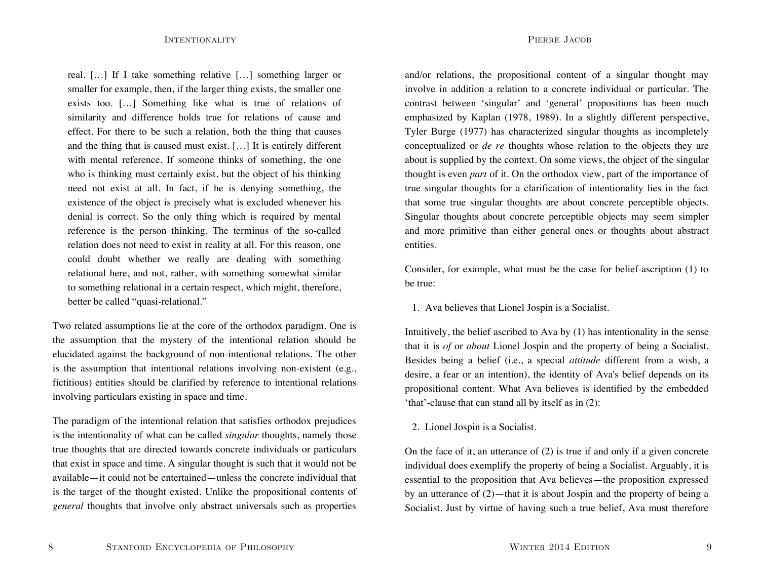real. […] If I take something relative […] something larger or smaller for example, then, if the larger thing exists, the smaller one exists too. […] Something like what is true of relations of similarity and difference holds true for relations of cause and effect. For there to be such a relation, both the thing that causes and the thing that is caused must exist. […] It is entirely different with mental reference. If someone thinks of something, the one who is thinking must certainly exist, but the object of his thinking need not exist at all. In fact, if he is denying something, the existence of the object is precisely what is excluded whenever his denial is correct. So the only thing which is required by mental reference is the person thinking. The terminus of the so-called relation does not need to exist in reality at all. For this reason, one could doubt whether we really are dealing with something relational here, and not, rather, with something somewhat similar to something relational in a certain respect, which might, therefore, better be called "quasi-relational."

Two related assumptions lie at the core of the orthodox paradigm. One is the assumption that the mystery of the intentional relation should be elucidated against the background of non-intentional relations. The other is the assumption that intentional relations involving non-existent (e.g., fictitious) entities should be clarified by reference to intentional relations involving particulars existing in space and time.

The paradigm of the intentional relation that satisfies orthodox prejudices is the intentionality of what can be called *singular* thoughts, namely those true thoughts that are directed towards concrete individuals or particulars that exist in space and time. A singular thought is such that it would not be available—it could not be entertained—unless the concrete individual that is the target of the thought existed. Unlike the propositional contents of *general* thoughts that involve only abstract universals such as properties

and/or relations, the propositional content of a singular thought may involve in addition a relation to a concrete individual or particular. The contrast between 'singular' and 'general' propositions has been much emphasized by Kaplan (1978, 1989). In a slightly different perspective, Tyler Burge (1977) has characterized singular thoughts as incompletely conceptualized or *de re* thoughts whose relation to the objects they are about is supplied by the context. On some views, the object of the singular thought is even *par<sup>t</sup>* of it. On the orthodox view, part of the importance of true singular thoughts for a clarification of intentionality lies in the fact that some true singular thoughts are about concrete perceptible objects. Singular thoughts about concrete perceptible objects may seem simpler and more primitive than either general ones or thoughts about abstract entities.

Consider, for example, what must be the case for belief-ascription (1) to be true:

1. Ava believes that Lionel Jospin is a Socialist.

Intuitively, the belief ascribed to Ava by (1) has intentionality in the sense that it is *of* or *about* Lionel Jospin and the property of being a Socialist. Besides being a belief (i.e., a special *attitude* different from a wish, a desire, a fear or an intention), the identity of Ava's belief depends on its propositional content. What Ava believes is identified by the embedded 'that'-clause that can stand all by itself as in (2):

2. Lionel Jospin is a Socialist.

On the face of it, an utterance of (2) is true if and only if a given concrete individual does exemplify the property of being a Socialist. Arguably, it is essential to the proposition that Ava believes—the proposition expressed by an utterance of (2)—that it is about Jospin and the property of being a Socialist. Just by virtue of having such a true belief, Ava must therefore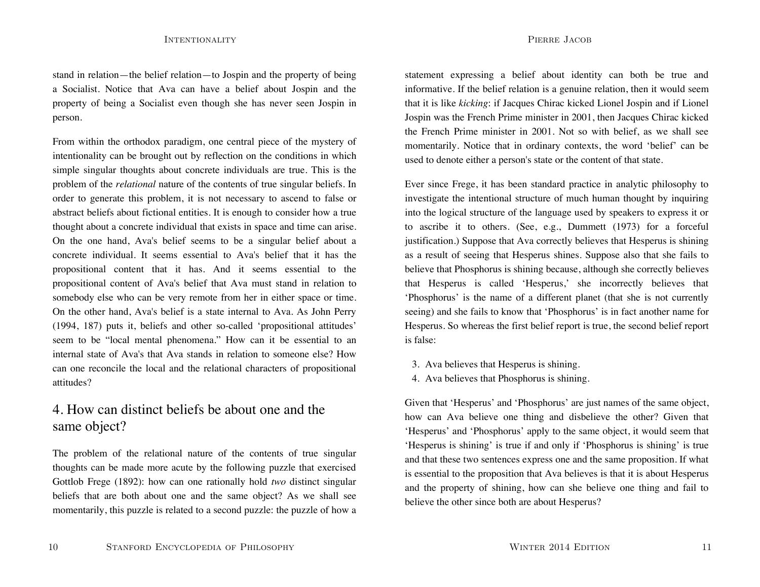stand in relation—the belief relation—to Jospin and the property of being a Socialist. Notice that Ava can have a belief about Jospin and the property of being a Socialist even though she has never seen Jospin in person.

From within the orthodox paradigm, one central piece of the mystery of intentionality can be brought out by reflection on the conditions in which simple singular thoughts about concrete individuals are true. This is the problem of the *relational* nature of the contents of true singular beliefs. In order to generate this problem, it is not necessary to ascend to false or abstract beliefs about fictional entities. It is enough to consider how a true thought about a concrete individual that exists in space and time can arise. On the one hand, Ava's belief seems to be a singular belief about a concrete individual. It seems essential to Ava's belief that it has thepropositional content that it has. And it seems essential to the propositional content of Ava's belief that Ava must stand in relation to somebody else who can be very remote from her in either space or time. On the other hand, Ava's belief is a state internal to Ava. As John Perry (1994, 187) puts it, beliefs and other so-called 'propositional attitudes' seem to be "local mental phenomena." How can it be essential to an internal state of Ava's that Ava stands in relation to someone else? Howcan one reconcile the local and the relational characters of propositional attitudes?

# 4. How can distinct beliefs be about one and thesame object?

The problem of the relational nature of the contents of true singular thoughts can be made more acute by the following puzzle that exercised Gottlob Frege (1892): how can one rationally hold *two* distinct singular beliefs that are both about one and the same object? As we shall see momentarily, this puzzle is related to a second puzzle: the puzzle of how a

statement expressing a belief about identity can both be true and informative. If the belief relation is a genuine relation, then it would seem that it is like *kicking*: if Jacques Chirac kicked Lionel Jospin and if Lionel Jospin was the French Prime minister in 2001, then Jacques Chirac kicked the French Prime minister in 2001. Not so with belief, as we shall see momentarily. Notice that in ordinary contexts, the word 'belief' can be used to denote either a person's state or the content of that state.

Ever since Frege, it has been standard practice in analytic philosophy to investigate the intentional structure of much human thought by inquiring into the logical structure of the language used by speakers to express it or to ascribe it to others. (See, e.g., Dummett (1973) for a forceful justification.) Suppose that Ava correctly believes that Hesperus is shining as a result of seeing that Hesperus shines. Suppose also that she fails to believe that Phosphorus is shining because, although she correctly believes that Hesperus is called 'Hesperus,' she incorrectly believes that 'Phosphorus' is the name of a different planet (that she is not currently seeing) and she fails to know that 'Phosphorus' is in fact another name for Hesperus. So whereas the first belief report is true, the second belief report is false:

- 3. Ava believes that Hesperus is shining.
- 4. Ava believes that Phosphorus is shining.

Given that 'Hesperus' and 'Phosphorus' are just names of the same object, how can Ava believe one thing and disbelieve the other? Given that 'Hesperus' and 'Phosphorus' apply to the same object, it would seem that 'Hesperus is shining' is true if and only if 'Phosphorus is shining' is true and that these two sentences express one and the same proposition. If what is essential to the proposition that Ava believes is that it is about Hesperus and the property of shining, how can she believe one thing and fail to believe the other since both are about Hesperus?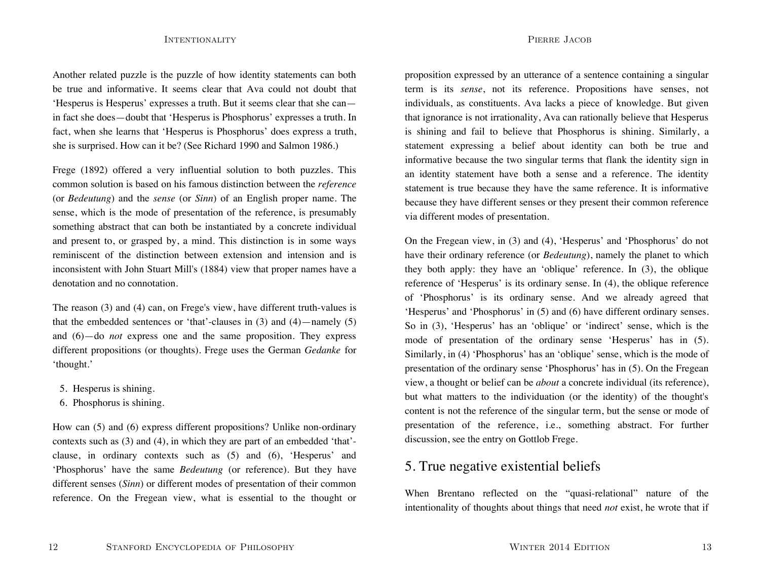Another related puzzle is the puzzle of how identity statements can both be true and informative. It seems clear that Ava could not doubt that'Hesperus is Hesperus' expresses a truth. But it seems clear that she can in fact she does—doubt that 'Hesperus is Phosphorus' expresses a truth. In fact, when she learns that 'Hesperus is Phosphorus' does express a truth, she is surprised. How can it be? (See Richard 1990 and Salmon 1986.)

Frege (1892) offered a very influential solution to both puzzles. This common solution is based on his famous distinction between the *reference* (or *Bedeutung*) and the *sense* (or *Sinn*) of an English proper name. The sense, which is the mode of presentation of the reference, is presumably something abstract that can both be instantiated by a concrete individual and present to, or grasped by, a mind. This distinction is in some ways reminiscent of the distinction between extension and intension and isinconsistent with John Stuart Mill's (1884) view that proper names have a denotation and no connotation.

The reason (3) and (4) can, on Frege's view, have different truth-values is that the embedded sentences or 'that'-clauses in  $(3)$  and  $(4)$ —namely  $(5)$ and (6)—do *not* express one and the same proposition. They express different propositions (or thoughts). Frege uses the German *Gedanke* for 'thought.'

5. Hesperus is shining.

12

6. Phosphorus is shining.

How can (5) and (6) express different propositions? Unlike non-ordinary contexts such as (3) and (4), in which they are part of an embedded 'that' clause, in ordinary contexts such as (5) and (6), 'Hesperus' and 'Phosphorus' have the same *Bedeutung* (or reference). But they have different senses (*Sinn*) or different modes of presentation of their common reference. On the Fregean view, what is essential to the thought or

STANFORD ENCYCLOPEDIA OF PHILOSOPHY

proposition expressed by an utterance of a sentence containing a singular term is its *sense*, not its reference. Propositions have senses, not individuals, as constituents. Ava lacks a piece of knowledge. But given that ignorance is not irrationality, Ava can rationally believe that Hesperus is shining and fail to believe that Phosphorus is shining. Similarly, a statement expressing a belief about identity can both be true and informative because the two singular terms that flank the identity sign in an identity statement have both a sense and a reference. The identity statement is true because they have the same reference. It is informative because they have different senses or they present their common reference via different modes of presentation.

On the Fregean view, in (3) and (4), 'Hesperus' and 'Phosphorus' do not have their ordinary reference (or *Bedeutung*), namely the planet to which they both apply: they have an 'oblique' reference. In (3), the oblique reference of 'Hesperus' is its ordinary sense. In (4), the oblique reference of 'Phosphorus' is its ordinary sense. And we already agreed that 'Hesperus' and 'Phosphorus' in (5) and (6) have different ordinary senses. So in (3), 'Hesperus' has an 'oblique' or 'indirect' sense, which is the mode of presentation of the ordinary sense 'Hesperus' has in (5). Similarly, in (4) 'Phosphorus' has an 'oblique' sense, which is the mode of presentation of the ordinary sense 'Phosphorus' has in (5). On the Fregean view, a thought or belief can be *about* a concrete individual (its reference), but what matters to the individuation (or the identity) of the thought's content is not the reference of the singular term, but the sense or mode of presentation of the reference, i.e., something abstract. For further discussion, see the entry on Gottlob Frege.

### 5. True negative existential beliefs

When Brentano reflected on the "quasi-relational" nature of the intentionality of thoughts about things that need *not* exist, he wrote that if

WINTER 2014 EDITION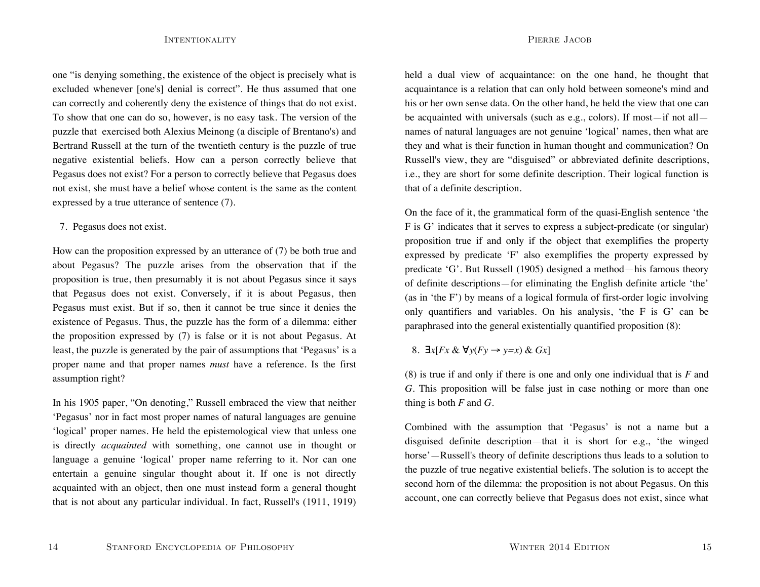one "is denying something, the existence of the object is precisely what is excluded whenever [one's] denial is correct". He thus assumed that one can correctly and coherently deny the existence of things that do not exist. To show that one can do so, however, is no easy task. The version of the puzzle that exercised both Alexius Meinong (a disciple of Brentano's) and Bertrand Russell at the turn of the twentieth century is the puzzle of true negative existential beliefs. How can a person correctly believe that Pegasus does not exist? For a person to correctly believe that Pegasus does not exist, she must have a belief whose content is the same as the content expressed by a true utterance of sentence (7).

7. Pegasus does not exist.

How can the proposition expressed by an utterance of (7) be both true and about Pegasus? The puzzle arises from the observation that if the proposition is true, then presumably it is not about Pegasus since it says that Pegasus does not exist. Conversely, if it is about Pegasus, then Pegasus must exist. But if so, then it cannot be true since it denies the existence of Pegasus. Thus, the puzzle has the form of a dilemma: either the proposition expressed by (7) is false or it is not about Pegasus. At least, the puzzle is generated by the pair of assumptions that 'Pegasus' is a proper name and that proper names *must* have a reference. Is the first assumption right?

In his 1905 paper, "On denoting," Russell embraced the view that neither 'Pegasus' nor in fact most proper names of natural languages are genuine 'logical' proper names. He held the epistemological view that unless one is directly *acquainted* with something, one cannot use in thought or language a genuine 'logical' proper name referring to it. Nor can one entertain a genuine singular thought about it. If one is not directly acquainted with an object, then one must instead form a general thought that is not about any particular individual. In fact, Russell's (1911, 1919)

held a dual view of acquaintance: on the one hand, he thought that acquaintance is a relation that can only hold between someone's mind and his or her own sense data. On the other hand, he held the view that one can be acquainted with universals (such as e.g., colors). If most—if not all names of natural languages are not genuine 'logical' names, then what are they and what is their function in human thought and communication? On Russell's view, they are "disguised" or abbreviated definite descriptions, i.e., they are short for some definite description. Their logical function is that of a definite description.

On the face of it, the grammatical form of the quasi-English sentence 'the F is G' indicates that it serves to express a subject-predicate (or singular) proposition true if and only if the object that exemplifies the property expressed by predicate 'F' also exemplifies the property expressed by predicate 'G'. But Russell (1905) designed a method—his famous theory of definite descriptions—for eliminating the English definite article 'the' (as in 'the F') by means of a logical formula of first-order logic involving only quantifiers and variables. On his analysis, 'the F is G' can be paraphrased into the general existentially quantified proposition (8):

8. ∃*x*[*Fx* & ∀*y*(*Fy* <sup>→</sup> *y=x*) & *Gx*]

(8) is true if and only if there is one and only one individual that is *F* and *G*. This proposition will be false just in case nothing or more than one thing is both  $F$  and  $G$ .

Combined with the assumption that 'Pegasus' is not a name but a disguised definite description—that it is short for e.g., 'the winged horse'—Russell's theory of definite descriptions thus leads to a solution to the puzzle of true negative existential beliefs. The solution is to accept the second horn of the dilemma: the proposition is not about Pegasus. On this account, one can correctly believe that Pegasus does not exist, since what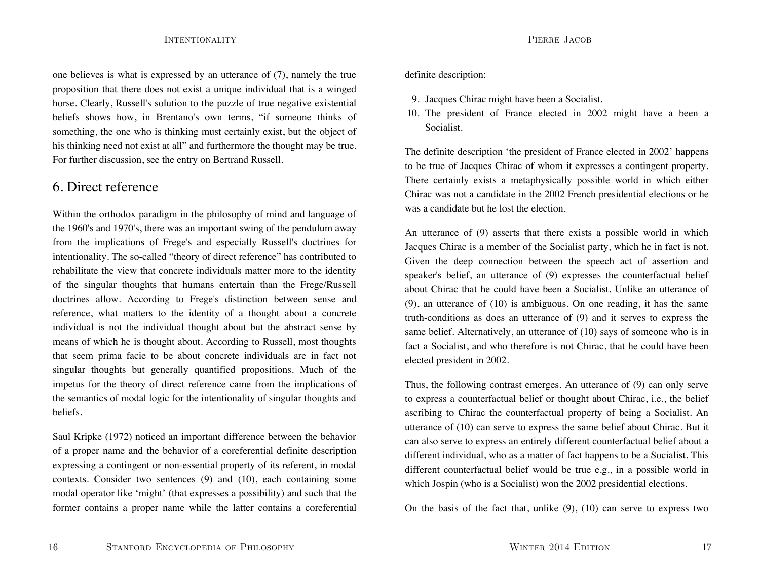one believes is what is expressed by an utterance of (7), namely the true proposition that there does not exist a unique individual that is a winged horse. Clearly, Russell's solution to the puzzle of true negative existential beliefs shows how, in Brentano's own terms, "if someone thinks of something, the one who is thinking must certainly exist, but the object of his thinking need not exist at all" and furthermore the thought may be true. For further discussion, see the entry on Bertrand Russell.

### 6. Direct reference

Within the orthodox paradigm in the philosophy of mind and language of the 1960's and 1970's, there was an important swing of the pendulum away from the implications of Frege's and especially Russell's doctrines for intentionality. The so-called "theory of direct reference" has contributed to rehabilitate the view that concrete individuals matter more to the identity of the singular thoughts that humans entertain than the Frege/Russell doctrines allow. According to Frege's distinction between sense and reference, what matters to the identity of a thought about a concrete individual is not the individual thought about but the abstract sense by means of which he is thought about. According to Russell, most thoughts that seem prima facie to be about concrete individuals are in fact not singular thoughts but generally quantified propositions. Much of the impetus for the theory of direct reference came from the implications of the semantics of modal logic for the intentionality of singular thoughts and beliefs.

Saul Kripke (1972) noticed an important difference between the behavior of a proper name and the behavior of a coreferential definite description expressing a contingent or non-essential property of its referent, in modal contexts. Consider two sentences (9) and (10), each containing some modal operator like 'might' (that expresses a possibility) and such that the former contains a proper name while the latter contains a coreferential definite description:

- 9. Jacques Chirac might have been a Socialist.
- 10. The president of France elected in 2002 might have a been a Socialist.

The definite description 'the president of France elected in 2002' happens to be true of Jacques Chirac of whom it expresses a contingent property. There certainly exists a metaphysically possible world in which either Chirac was not a candidate in the 2002 French presidential elections or he was a candidate but he lost the election.

An utterance of (9) asserts that there exists a possible world in which Jacques Chirac is a member of the Socialist party, which he in fact is not. Given the deep connection between the speech act of assertion and speaker's belief, an utterance of (9) expresses the counterfactual belief about Chirac that he could have been a Socialist. Unlike an utterance of (9), an utterance of (10) is ambiguous. On one reading, it has the same truth-conditions as does an utterance of (9) and it serves to express the same belief. Alternatively, an utterance of (10) says of someone who is in fact a Socialist, and who therefore is not Chirac, that he could have been elected president in 2002.

Thus, the following contrast emerges. An utterance of (9) can only serve to express a counterfactual belief or thought about Chirac, i.e., the belief ascribing to Chirac the counterfactual property of being a Socialist. An utterance of (10) can serve to express the same belief about Chirac. But it can also serve to express an entirely different counterfactual belief about a different individual, who as a matter of fact happens to be a Socialist. This different counterfactual belief would be true e.g., in a possible world in which Jospin (who is a Socialist) won the 2002 presidential elections.

On the basis of the fact that, unlike  $(9)$ ,  $(10)$  can serve to express two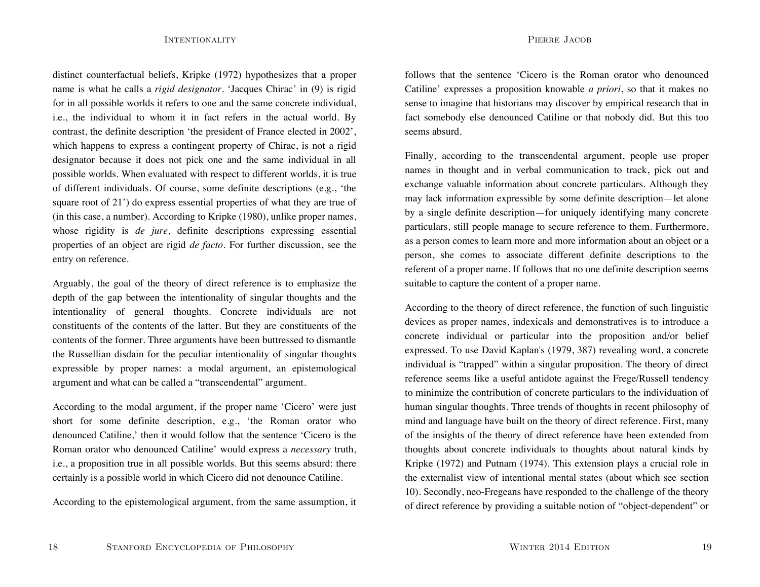distinct counterfactual beliefs, Kripke (1972) hypothesizes that a proper name is what he calls a *rigid designator*. 'Jacques Chirac' in (9) is rigid for in all possible worlds it refers to one and the same concrete individual, i.e., the individual to whom it in fact refers in the actual world. By contrast, the definite description 'the president of France elected in 2002', which happens to express a contingent property of Chirac, is not a rigid designator because it does not pick one and the same individual in all possible worlds. When evaluated with respect to different worlds, it is true of different individuals. Of course, some definite descriptions (e.g., 'the square root of 21') do express essential properties of what they are true of (in this case, a number). According to Kripke (1980), unlike proper names, whose rigidity is *de jure*, definite descriptions expressing essential properties of an object are rigid *de facto*. For further discussion, see the entry on reference.

Arguably, the goal of the theory of direct reference is to emphasize the depth of the gap between the intentionality of singular thoughts and the intentionality of general thoughts. Concrete individuals are not constituents of the contents of the latter. But they are constituents of the contents of the former. Three arguments have been buttressed to dismantle the Russellian disdain for the peculiar intentionality of singular thoughts expressible by proper names: a modal argument, an epistemological argument and what can be called a "transcendental" argument.

According to the modal argument, if the proper name 'Cicero' were just short for some definite description, e.g., 'the Roman orator who denounced Catiline,' then it would follow that the sentence 'Cicero is the Roman orator who denounced Catiline' would express a *necessary* truth, i.e., a proposition true in all possible worlds. But this seems absurd: there certainly is a possible world in which Cicero did not denounce Catiline.

According to the epistemological argument, from the same assumption, it

follows that the sentence 'Cicero is the Roman orator who denounced Catiline' expresses a proposition knowable *a priori*, so that it makes no sense to imagine that historians may discover by empirical research that in fact somebody else denounced Catiline or that nobody did. But this too seems absurd.

Finally, according to the transcendental argument, people use proper names in thought and in verbal communication to track, pick out and exchange valuable information about concrete particulars. Although they may lack information expressible by some definite description—let alone by a single definite description—for uniquely identifying many concrete particulars, still people manage to secure reference to them. Furthermore, as a person comes to learn more and more information about an object or a person, she comes to associate different definite descriptions to the referent of a proper name. If follows that no one definite description seems suitable to capture the content of a proper name.

According to the theory of direct reference, the function of such linguistic devices as proper names, indexicals and demonstratives is to introduce a concrete individual or particular into the proposition and/or belief expressed. To use David Kaplan's (1979, 387) revealing word, a concrete individual is "trapped" within a singular proposition. The theory of direct reference seems like a useful antidote against the Frege/Russell tendency to minimize the contribution of concrete particulars to the individuation of human singular thoughts. Three trends of thoughts in recent philosophy of mind and language have built on the theory of direct reference. First, many of the insights of the theory of direct reference have been extended from thoughts about concrete individuals to thoughts about natural kinds by Kripke (1972) and Putnam (1974). This extension plays a crucial role in the externalist view of intentional mental states (about which see section 10). Secondly, neo-Fregeans have responded to the challenge of the theory of direct reference by providing a suitable notion of "object-dependent" or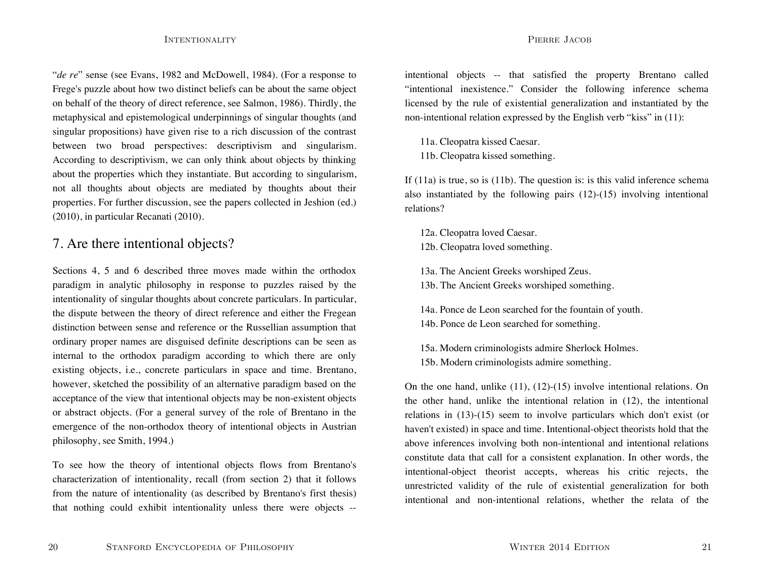"*de re*" sense (see Evans, 1982 and McDowell, 1984). (For a response to Frege's puzzle about how two distinct beliefs can be about the same object on behalf of the theory of direct reference, see Salmon, 1986). Thirdly, the metaphysical and epistemological underpinnings of singular thoughts (and singular propositions) have given rise to a rich discussion of the contrast between two broad perspectives: descriptivism and singularism. According to descriptivism, we can only think about objects by thinking about the properties which they instantiate. But according to singularism, not all thoughts about objects are mediated by thoughts about their properties. For further discussion, see the papers collected in Jeshion (ed.) (2010), in particular Recanati (2010).

## 7. Are there intentional objects?

Sections 4, 5 and 6 described three moves made within the orthodox paradigm in analytic philosophy in response to puzzles raised by the intentionality of singular thoughts about concrete particulars. In particular, the dispute between the theory of direct reference and either the Fregean distinction between sense and reference or the Russellian assumption that ordinary proper names are disguised definite descriptions can be seen as internal to the orthodox paradigm according to which there are only existing objects, i.e., concrete particulars in space and time. Brentano, however, sketched the possibility of an alternative paradigm based on the acceptance of the view that intentional objects may be non-existent objects or abstract objects. (For a general survey of the role of Brentano in the emergence of the non-orthodox theory of intentional objects in Austrian philosophy, see Smith, 1994.)

To see how the theory of intentional objects flows from Brentano's characterization of intentionality, recall (from section 2) that it follows from the nature of intentionality (as described by Brentano's first thesis) that nothing could exhibit intentionality unless there were objects --

intentional objects -- that satisfied the property Brentano called "intentional inexistence." Consider the following inference schema licensed by the rule of existential generalization and instantiated by the non-intentional relation expressed by the English verb "kiss" in (11):

11a. Cleopatra kissed Caesar. 11b. Cleopatra kissed something.

If (11a) is true, so is (11b). The question is: is this valid inference schema also instantiated by the following pairs (12)-(15) involving intentional relations?

12a. Cleopatra loved Caesar. 12b. Cleopatra loved something.

13a. The Ancient Greeks worshiped Zeus.

13b. The Ancient Greeks worshiped something.

14a. Ponce de Leon searched for the fountain of youth. 14b. Ponce de Leon searched for something.

15a. Modern criminologists admire Sherlock Holmes. 15b. Modern criminologists admire something.

On the one hand, unlike (11), (12)-(15) involve intentional relations. On the other hand, unlike the intentional relation in (12), the intentional relations in (13)-(15) seem to involve particulars which don't exist (or haven't existed) in space and time. Intentional-object theorists hold that the above inferences involving both non-intentional and intentional relations constitute data that call for a consistent explanation. In other words, the intentional-object theorist accepts, whereas his critic rejects, the unrestricted validity of the rule of existential generalization for both intentional and non-intentional relations, whether the relata of the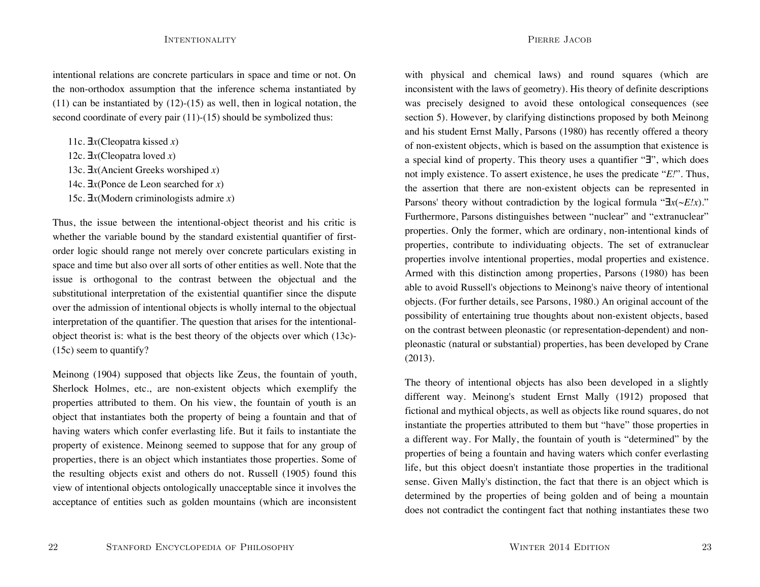intentional relations are concrete particulars in space and time or not. On the non-orthodox assumption that the inference schema instantiated by  $(11)$  can be instantiated by  $(12)-(15)$  as well, then in logical notation, the second coordinate of every pair (11)-(15) should be symbolized thus:

11c. ∃*x*(Cleopatra kissed *x*)

12c. ∃*x*(Cleopatra loved *x*)

13c. ∃*x*(Ancient Greeks worshiped *x*)

14c. ∃*x*(Ponce de Leon searched for *x*)

15c. ∃*x*(Modern criminologists admire *x*)

Thus, the issue between the intentional-object theorist and his critic is whether the variable bound by the standard existential quantifier of firstorder logic should range not merely over concrete particulars existing in space and time but also over all sorts of other entities as well. Note that the issue is orthogonal to the contrast between the objectual and the substitutional interpretation of the existential quantifier since the dispute over the admission of intentional objects is wholly internal to the objectual interpretation of the quantifier. The question that arises for the intentionalobject theorist is: what is the best theory of the objects over which (13c)- (15c) seem to quantify?

Meinong (1904) supposed that objects like Zeus, the fountain of youth, Sherlock Holmes, etc., are non-existent objects which exemplify the properties attributed to them. On his view, the fountain of youth is an object that instantiates both the property of being a fountain and that of having waters which confer everlasting life. But it fails to instantiate the property of existence. Meinong seemed to suppose that for any group of properties, there is an object which instantiates those properties. Some of the resulting objects exist and others do not. Russell (1905) found this view of intentional objects ontologically unacceptable since it involves the acceptance of entities such as golden mountains (which are inconsistent

with physical and chemical laws) and round squares (which are inconsistent with the laws of geometry). His theory of definite descriptions was precisely designed to avoid these ontological consequences (see section 5). However, by clarifying distinctions proposed by both Meinong and his student Ernst Mally, Parsons (1980) has recently offered a theory of non-existent objects, which is based on the assumption that existence is a special kind of property. This theory uses a quantifier "∃", which does not imply existence. To assert existence, he uses the predicate "*E!*". Thus, the assertion that there are non-existent objects can be represented in Parsons' theory without contradiction by the logical formula "∃*x*(~*E!x*)." Furthermore, Parsons distinguishes between "nuclear" and "extranuclear" properties. Only the former, which are ordinary, non-intentional kinds of properties, contribute to individuating objects. The set of extranuclear properties involve intentional properties, modal properties and existence. Armed with this distinction among properties, Parsons (1980) has been able to avoid Russell's objections to Meinong's naive theory of intentional objects. (For further details, see Parsons, 1980.) An original account of the possibility of entertaining true thoughts about non-existent objects, based on the contrast between pleonastic (or representation-dependent) and nonpleonastic (natural or substantial) properties, has been developed by Crane (2013).

The theory of intentional objects has also been developed in a slightly different way. Meinong's student Ernst Mally (1912) proposed that fictional and mythical objects, as well as objects like round squares, do not instantiate the properties attributed to them but "have" those properties in a different way. For Mally, the fountain of youth is "determined" by the properties of being a fountain and having waters which confer everlasting life, but this object doesn't instantiate those properties in the traditional sense. Given Mally's distinction, the fact that there is an object which is determined by the properties of being golden and of being a mountain does not contradict the contingent fact that nothing instantiates these two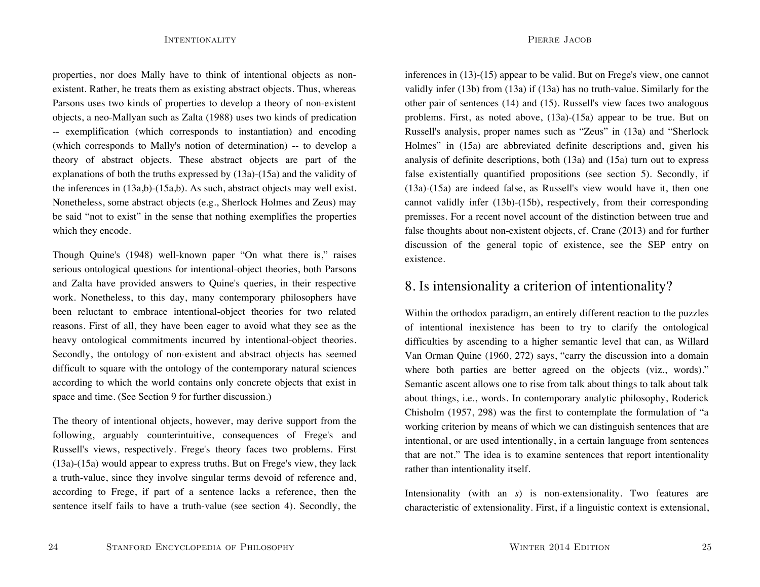properties, nor does Mally have to think of intentional objects as nonexistent. Rather, he treats them as existing abstract objects. Thus, whereas Parsons uses two kinds of properties to develop a theory of non-existent objects, a neo-Mallyan such as Zalta (1988) uses two kinds of predication -- exemplification (which corresponds to instantiation) and encoding (which corresponds to Mally's notion of determination) -- to develop a theory of abstract objects. These abstract objects are part of the explanations of both the truths expressed by (13a)-(15a) and the validity of the inferences in (13a,b)-(15a,b). As such, abstract objects may well exist. Nonetheless, some abstract objects (e.g., Sherlock Holmes and Zeus) may be said "not to exist" in the sense that nothing exemplifies the properties which they encode.

Though Quine's (1948) well-known paper "On what there is," raises serious ontological questions for intentional-object theories, both Parsons and Zalta have provided answers to Quine's queries, in their respective work. Nonetheless, to this day, many contemporary philosophers have been reluctant to embrace intentional-object theories for two related reasons. First of all, they have been eager to avoid what they see as the heavy ontological commitments incurred by intentional-object theories. Secondly, the ontology of non-existent and abstract objects has seemed difficult to square with the ontology of the contemporary natural sciences according to which the world contains only concrete objects that exist in space and time. (See Section 9 for further discussion.)

The theory of intentional objects, however, may derive support from the following, arguably counterintuitive, consequences of Frege's and Russell's views, respectively. Frege's theory faces two problems. First (13a)-(15a) would appear to express truths. But on Frege's view, they lack a truth-value, since they involve singular terms devoid of reference and, according to Frege, if part of a sentence lacks a reference, then the sentence itself fails to have a truth-value (see section 4). Secondly, the

inferences in (13)-(15) appear to be valid. But on Frege's view, one cannot validly infer (13b) from (13a) if (13a) has no truth-value. Similarly for the other pair of sentences (14) and (15). Russell's view faces two analogous problems. First, as noted above, (13a)-(15a) appear to be true. But on Russell's analysis, proper names such as "Zeus" in (13a) and "Sherlock Holmes" in (15a) are abbreviated definite descriptions and, given his analysis of definite descriptions, both (13a) and (15a) turn out to express false existentially quantified propositions (see section 5). Secondly, if (13a)-(15a) are indeed false, as Russell's view would have it, then one cannot validly infer (13b)-(15b), respectively, from their corresponding premisses. For a recent novel account of the distinction between true and false thoughts about non-existent objects, cf. Crane (2013) and for further discussion of the general topic of existence, see the SEP entry on existence.

### 8. Is intensionality a criterion of intentionality?

Within the orthodox paradigm, an entirely different reaction to the puzzles of intentional inexistence has been to try to clarify the ontological difficulties by ascending to a higher semantic level that can, as Willard Van Orman Quine (1960, 272) says, "carry the discussion into a domain where both parties are better agreed on the objects (viz., words)." Semantic ascent allows one to rise from talk about things to talk about talk about things, i.e., words. In contemporary analytic philosophy, Roderick Chisholm (1957, 298) was the first to contemplate the formulation of "a working criterion by means of which we can distinguish sentences that are intentional, or are used intentionally, in a certain language from sentences that are not." The idea is to examine sentences that report intentionality rather than intentionality itself.

Intensionality (with an *s*) is non-extensionality. Two features are characteristic of extensionality. First, if a linguistic context is extensional,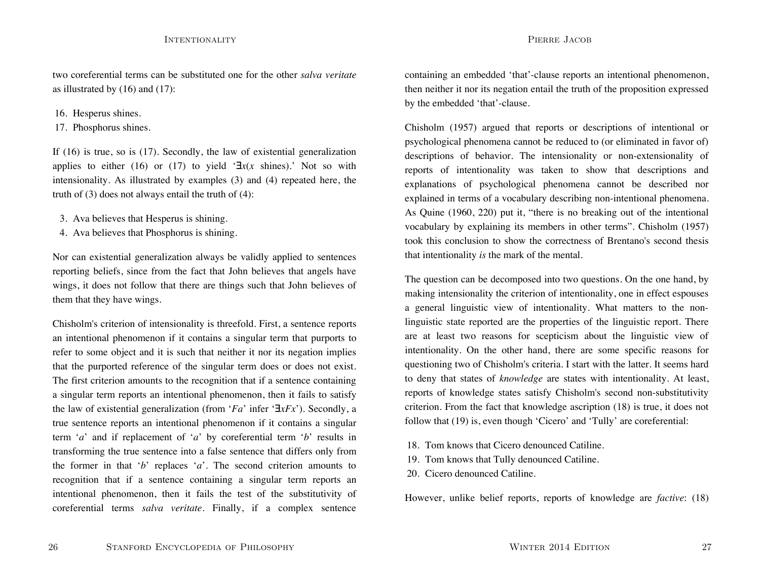two coreferential terms can be substituted one for the other *salva veritate*as illustrated by (16) and (17):

### 16. Hesperus shines.

17. Phosphorus shines.

If (16) is true, so is (17). Secondly, the law of existential generalization applies to either (16) or (17) to yield '∃*x*(*x* shines).' Not so with intensionality. As illustrated by examples (3) and (4) repeated here, the truth of (3) does not always entail the truth of (4):

- 3. Ava believes that Hesperus is shining.
- 4. Ava believes that Phosphorus is shining.

Nor can existential generalization always be validly applied to sentences reporting beliefs, since from the fact that John believes that angels have wings, it does not follow that there are things such that John believes of them that they have wings.

Chisholm's criterion of intensionality is threefold. First, a sentence reports an intentional phenomenon if it contains a singular term that purports to refer to some object and it is such that neither it nor its negation implies that the purported reference of the singular term does or does not exist. The first criterion amounts to the recognition that if a sentence containing a singular term reports an intentional phenomenon, then it fails to satisfy the law of existential generalization (from '*Fa*' infer '∃*xFx*'). Secondly, a true sentence reports an intentional phenomenon if it contains a singular term '*a*' and if replacement of '*a*' by coreferential term '*b*' results in transforming the true sentence into a false sentence that differs only from the former in that '*b*' replaces '*a*'. The second criterion amounts to recognition that if a sentence containing a singular term reports an intentional phenomenon, then it fails the test of the substitutivity of coreferential terms *salva veritate*. Finally, if a complex sentence

containing an embedded 'that'-clause reports an intentional phenomenon, then neither it nor its negation entail the truth of the proposition expressed by the embedded 'that'-clause.

Chisholm (1957) argued that reports or descriptions of intentional or psychological phenomena cannot be reduced to (or eliminated in favor of) descriptions of behavior. The intensionality or non-extensionality of reports of intentionality was taken to show that descriptions and explanations of psychological phenomena cannot be described nor explained in terms of a vocabulary describing non-intentional phenomena. As Quine (1960, 220) put it, "there is no breaking out of the intentional vocabulary by explaining its members in other terms". Chisholm (1957) took this conclusion to show the correctness of Brentano's second thesisthat intentionality *is* the mark of the mental.

The question can be decomposed into two questions. On the one hand, by making intensionality the criterion of intentionality, one in effect espouses a general linguistic view of intentionality. What matters to the nonlinguistic state reported are the properties of the linguistic report. There are at least two reasons for scepticism about the linguistic view of intentionality. On the other hand, there are some specific reasons for questioning two of Chisholm's criteria. I start with the latter. It seems hard to deny that states of *knowledge* are states with intentionality. At least, reports of knowledge states satisfy Chisholm's second non-substitutivity criterion. From the fact that knowledge ascription (18) is true, it does not follow that (19) is, even though 'Cicero' and 'Tully' are coreferential:

- 18. Tom knows that Cicero denounced Catiline.
- 19. Tom knows that Tully denounced Catiline.
- 20. Cicero denounced Catiline.

However, unlike belief reports, reports of knowledge are *factive*: (18)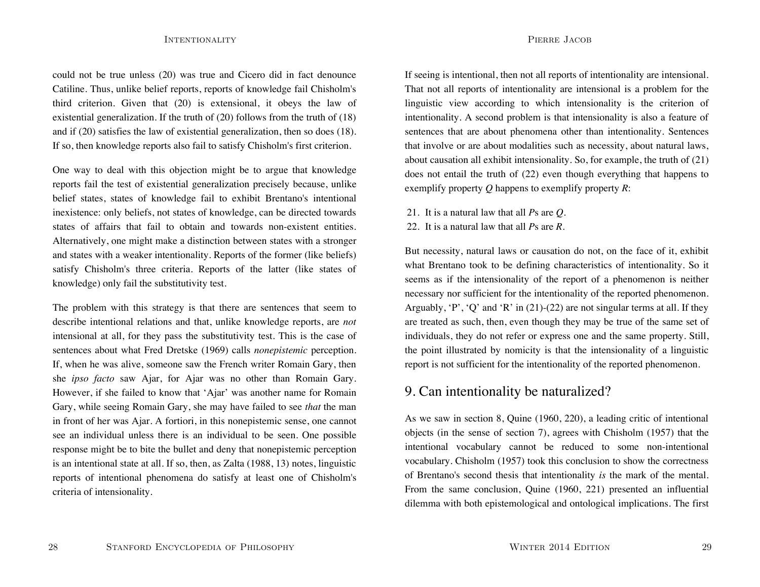could not be true unless (20) was true and Cicero did in fact denounce Catiline. Thus, unlike belief reports, reports of knowledge fail Chisholm's third criterion. Given that (20) is extensional, it obeys the law of existential generalization. If the truth of (20) follows from the truth of (18) and if (20) satisfies the law of existential generalization, then so does (18). If so, then knowledge reports also fail to satisfy Chisholm's first criterion.

One way to deal with this objection might be to argue that knowledge reports fail the test of existential generalization precisely because, unlike belief states, states of knowledge fail to exhibit Brentano's intentional inexistence: only beliefs, not states of knowledge, can be directed towards states of affairs that fail to obtain and towards non-existent entities. Alternatively, one might make a distinction between states with a stronger and states with a weaker intentionality. Reports of the former (like beliefs) satisfy Chisholm's three criteria. Reports of the latter (like states of knowledge) only fail the substitutivity test.

The problem with this strategy is that there are sentences that seem to describe intentional relations and that, unlike knowledge reports, are *not* intensional at all, for they pass the substitutivity test. This is the case of sentences about what Fred Dretske (1969) calls *nonepistemic* perception. If, when he was alive, someone saw the French writer Romain Gary, then she *ipso facto* saw Ajar, for Ajar was no other than Romain Gary. However, if she failed to know that 'Ajar' was another name for Romain Gary, while seeing Romain Gary, she may have failed to see *that* the man in front of her was Ajar. A fortiori, in this nonepistemic sense, one cannot see an individual unless there is an individual to be seen. One possible response might be to bite the bullet and deny that nonepistemic perception is an intentional state at all. If so, then, as Zalta (1988, 13) notes, linguistic reports of intentional phenomena do satisfy at least one of Chisholm's criteria of intensionality.

If seeing is intentional, then not all reports of intentionality are intensional. That not all reports of intentionality are intensional is a problem for the linguistic view according to which intensionality is the criterion of intentionality. A second problem is that intensionality is also a feature of sentences that are about phenomena other than intentionality. Sentences that involve or are about modalities such as necessity, about natural laws, about causation all exhibit intensionality. So, for example, the truth of (21) does not entail the truth of (22) even though everything that happens to exemplify property *Q* happens to exemplify property *R*:

- 21. It is a natural law that all *P*s are *Q*.
- 22. It is a natural law that all *P*s are *R*.

But necessity, natural laws or causation do not, on the face of it, exhibit what Brentano took to be defining characteristics of intentionality. So it seems as if the intensionality of the report of a phenomenon is neither necessary nor sufficient for the intentionality of the reported phenomenon. Arguably,  $P'$ ,  $Q'$  and  $R'$  in (21)-(22) are not singular terms at all. If they are treated as such, then, even though they may be true of the same set of individuals, they do not refer or express one and the same property. Still, the point illustrated by nomicity is that the intensionality of a linguistic report is not sufficient for the intentionality of the reported phenomenon.

### 9. Can intentionality be naturalized?

As we saw in section 8, Quine (1960, 220), a leading critic of intentional objects (in the sense of section 7), agrees with Chisholm (1957) that the intentional vocabulary cannot be reduced to some non-intentional vocabulary. Chisholm (1957) took this conclusion to show the correctness of Brentano's second thesis that intentionality *is* the mark of the mental. From the same conclusion, Quine (1960, 221) presented an influential dilemma with both epistemological and ontological implications. The first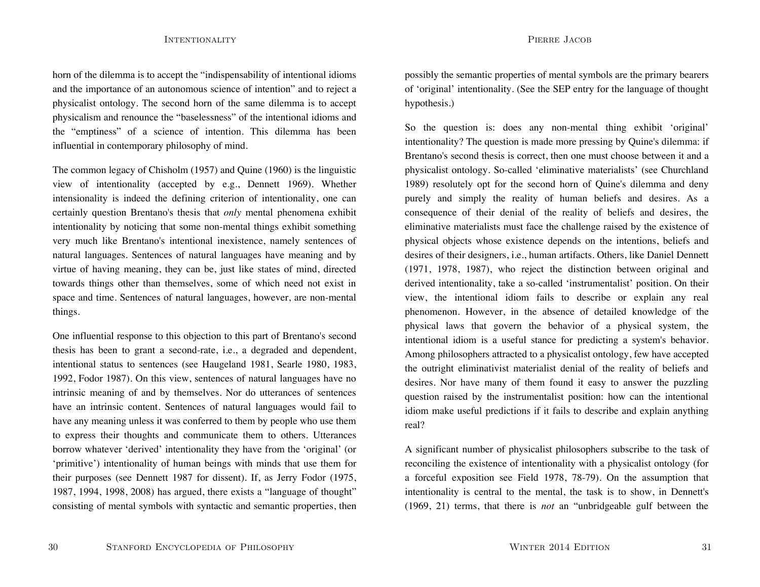horn of the dilemma is to accept the "indispensability of intentional idioms and the importance of an autonomous science of intention" and to reject a physicalist ontology. The second horn of the same dilemma is to accept physicalism and renounce the "baselessness" of the intentional idioms and the "emptiness" of a science of intention. This dilemma has been influential in contemporary philosophy of mind.

The common legacy of Chisholm (1957) and Quine (1960) is the linguistic view of intentionality (accepted by e.g., Dennett 1969). Whether intensionality is indeed the defining criterion of intentionality, one can certainly question Brentano's thesis that *only* mental phenomena exhibit intentionality by noticing that some non-mental things exhibit something very much like Brentano's intentional inexistence, namely sentences of natural languages. Sentences of natural languages have meaning and by virtue of having meaning, they can be, just like states of mind, directed towards things other than themselves, some of which need not exist in space and time. Sentences of natural languages, however, are non-mental things.

One influential response to this objection to this part of Brentano's second thesis has been to grant a second-rate, i.e., a degraded and dependent, intentional status to sentences (see Haugeland 1981, Searle 1980, 1983, 1992, Fodor 1987). On this view, sentences of natural languages have no intrinsic meaning of and by themselves. Nor do utterances of sentences have an intrinsic content. Sentences of natural languages would fail to have any meaning unless it was conferred to them by people who use them to express their thoughts and communicate them to others. Utterances borrow whatever 'derived' intentionality they have from the 'original' (or 'primitive') intentionality of human beings with minds that use them for their purposes (see Dennett 1987 for dissent). If, as Jerry Fodor (1975, 1987, 1994, 1998, 2008) has argued, there exists a "language of thought" consisting of mental symbols with syntactic and semantic properties, then

possibly the semantic properties of mental symbols are the primary bearers of 'original' intentionality. (See the SEP entry for the language of thought hypothesis.)

So the question is: does any non-mental thing exhibit 'original' intentionality? The question is made more pressing by Quine's dilemma: if Brentano's second thesis is correct, then one must choose between it and a physicalist ontology. So-called 'eliminative materialists' (see Churchland 1989) resolutely opt for the second horn of Quine's dilemma and deny purely and simply the reality of human beliefs and desires. As a consequence of their denial of the reality of beliefs and desires, the eliminative materialists must face the challenge raised by the existence of physical objects whose existence depends on the intentions, beliefs and desires of their designers, i.e., human artifacts. Others, like Daniel Dennett (1971, 1978, 1987), who reject the distinction between original and derived intentionality, take a so-called 'instrumentalist' position. On their view, the intentional idiom fails to describe or explain any real phenomenon. However, in the absence of detailed knowledge of the physical laws that govern the behavior of a physical system, the intentional idiom is a useful stance for predicting a system's behavior. Among philosophers attracted to a physicalist ontology, few have accepted the outright eliminativist materialist denial of the reality of beliefs and desires. Nor have many of them found it easy to answer the puzzling question raised by the instrumentalist position: how can the intentional idiom make useful predictions if it fails to describe and explain anything real?

A significant number of physicalist philosophers subscribe to the task of reconciling the existence of intentionality with a physicalist ontology (for a forceful exposition see Field 1978, 78-79). On the assumption that intentionality is central to the mental, the task is to show, in Dennett's (1969, 21) terms, that there is *not* an "unbridgeable gulf between the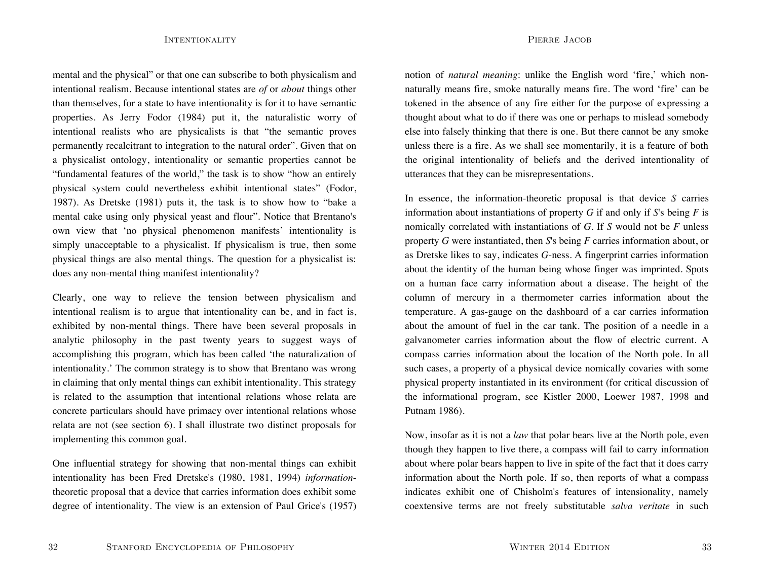PIERRE JACOB

mental and the physical" or that one can subscribe to both physicalism and intentional realism. Because intentional states are *of* or *about* things other than themselves, for a state to have intentionality is for it to have semantic properties. As Jerry Fodor (1984) put it, the naturalistic worry of intentional realists who are physicalists is that "the semantic proves permanently recalcitrant to integration to the natural order". Given that on a physicalist ontology, intentionality or semantic properties cannot be "fundamental features of the world," the task is to show "how an entirely physical system could nevertheless exhibit intentional states" (Fodor, 1987). As Dretske (1981) puts it, the task is to show how to "bake a mental cake using only physical yeast and flour". Notice that Brentano's own view that 'no physical phenomenon manifests' intentionality is simply unacceptable to a physicalist. If physicalism is true, then some physical things are also mental things. The question for a physicalist is: does any non-mental thing manifest intentionality?

Clearly, one way to relieve the tension between physicalism and intentional realism is to argue that intentionality can be, and in fact is, exhibited by non-mental things. There have been several proposals in analytic philosophy in the past twenty years to suggest ways of accomplishing this program, which has been called 'the naturalization of intentionality.' The common strategy is to show that Brentano was wrong in claiming that only mental things can exhibit intentionality. This strategy is related to the assumption that intentional relations whose relata are concrete particulars should have primacy over intentional relations whose relata are not (see section 6). I shall illustrate two distinct proposals for implementing this common goal.

One influential strategy for showing that non-mental things can exhibit intentionality has been Fred Dretske's (1980, 1981, 1994) *information*theoretic proposal that a device that carries information does exhibit some degree of intentionality. The view is an extension of Paul Grice's (1957) notion of *natural meaning*: unlike the English word 'fire,' which nonnaturally means fire, smoke naturally means fire. The word 'fire' can be tokened in the absence of any fire either for the purpose of expressing a thought about what to do if there was one or perhaps to mislead somebody else into falsely thinking that there is one. But there cannot be any smoke unless there is a fire. As we shall see momentarily, it is a feature of both the original intentionality of beliefs and the derived intentionality of utterances that they can be misrepresentations.

In essence, the information-theoretic proposal is that device *S* carries information about instantiations of property *G* if and only if *S*'s being *F* is nomically correlated with instantiations of *G*. If *S* would not be *F* unless property *G* were instantiated, then *S*'s being *F* carries information about, or as Dretske likes to say, indicates *G*-ness. A fingerprint carries information about the identity of the human being whose finger was imprinted. Spots on a human face carry information about a disease. The height of the column of mercury in a thermometer carries information about the temperature. A gas-gauge on the dashboard of a car carries information about the amount of fuel in the car tank. The position of a needle in a galvanometer carries information about the flow of electric current. A compass carries information about the location of the North pole. In all such cases, a property of a physical device nomically covaries with some physical property instantiated in its environment (for critical discussion of the informational program, see Kistler 2000, Loewer 1987, 1998 and Putnam 1986).

Now, insofar as it is not a *law* that polar bears live at the North pole, even though they happen to live there, a compass will fail to carry information about where polar bears happen to live in spite of the fact that it does carry information about the North pole. If so, then reports of what a compass indicates exhibit one of Chisholm's features of intensionality, namely coextensive terms are not freely substitutable *salva veritate* in such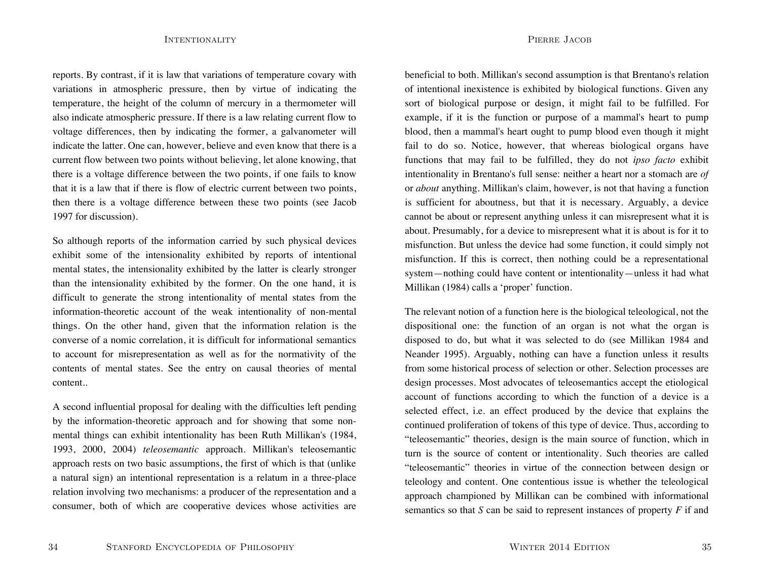PIERRE JACOB

reports. By contrast, if it is law that variations of temperature covary with variations in atmospheric pressure, then by virtue of indicating the temperature, the height of the column of mercury in a thermometer will also indicate atmospheric pressure. If there is a law relating current flow to voltage differences, then by indicating the former, a galvanometer will indicate the latter. One can, however, believe and even know that there is a current flow between two points without believing, let alone knowing, that there is a voltage difference between the two points, if one fails to know that it is a law that if there is flow of electric current between two points, then there is a voltage difference between these two points (see Jacob 1997 for discussion).

So although reports of the information carried by such physical devices exhibit some of the intensionality exhibited by reports of intentional mental states, the intensionality exhibited by the latter is clearly stronger than the intensionality exhibited by the former. On the one hand, it is difficult to generate the strong intentionality of mental states from the information-theoretic account of the weak intentionality of non-mental things. On the other hand, given that the information relation is the converse of a nomic correlation, it is difficult for informational semantics to account for misrepresentation as well as for the normativity of the contents of mental states. See the entry on causal theories of mental content..

A second influential proposal for dealing with the difficulties left pending by the information-theoretic approach and for showing that some nonmental things can exhibit intentionality has been Ruth Millikan's (1984, 1993, 2000, 2004) *teleosemantic* approach. Millikan's teleosemantic approach rests on two basic assumptions, the first of which is that (unlike a natural sign) an intentional representation is a relatum in a three-place relation involving two mechanisms: a producer of the representation and a consumer, both of which are cooperative devices whose activities are

beneficial to both. Millikan's second assumption is that Brentano's relation of intentional inexistence is exhibited by biological functions. Given any sort of biological purpose or design, it might fail to be fulfilled. For example, if it is the function or purpose of a mammal's heart to pump blood, then a mammal's heart ought to pump blood even though it might fail to do so. Notice, however, that whereas biological organs have functions that may fail to be fulfilled, they do not *ipso facto* exhibit intentionality in Brentano's full sense: neither a heart nor a stomach are *of* or *about* anything. Millikan's claim, however, is not that having a function is sufficient for aboutness, but that it is necessary. Arguably, a device cannot be about or represent anything unless it can misrepresent what it is about. Presumably, for a device to misrepresent what it is about is for it to misfunction. But unless the device had some function, it could simply not misfunction. If this is correct, then nothing could be a representational system—nothing could have content or intentionality—unless it had what Millikan (1984) calls a 'proper' function.

The relevant notion of a function here is the biological teleological, not the dispositional one: the function of an organ is not what the organ is disposed to do, but what it was selected to do (see Millikan 1984 and Neander 1995). Arguably, nothing can have a function unless it results from some historical process of selection or other. Selection processes are design processes. Most advocates of teleosemantics accept the etiological account of functions according to which the function of a device is a selected effect, i.e. an effect produced by the device that explains the continued proliferation of tokens of this type of device. Thus, according to "teleosemantic" theories, design is the main source of function, which in turn is the source of content or intentionality. Such theories are called "teleosemantic" theories in virtue of the connection between design or teleology and content. One contentious issue is whether the teleological approach championed by Millikan can be combined with informational semantics so that *S* can be said to represent instances of property *F* if and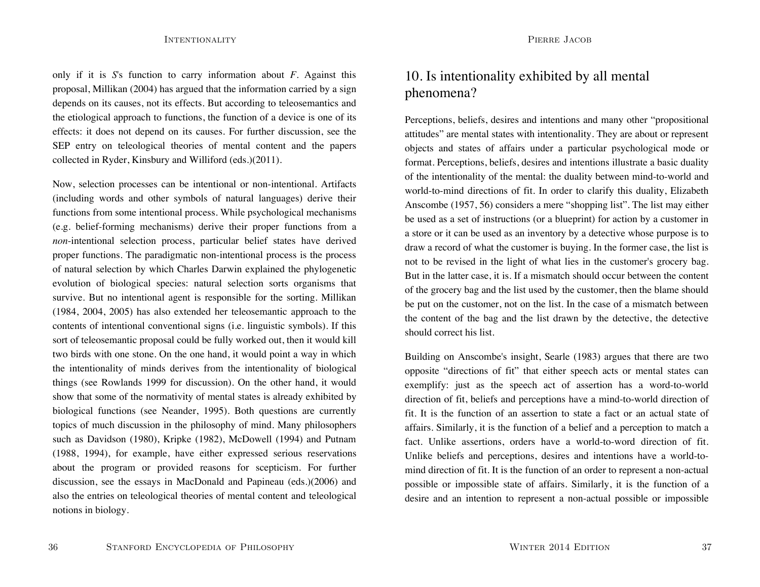only if it is *S*'s function to carry information about *F*. Against this proposal, Millikan (2004) has argued that the information carried by a sign depends on its causes, not its effects. But according to teleosemantics and the etiological approach to functions, the function of a device is one of its effects: it does not depend on its causes. For further discussion, see the SEP entry on teleological theories of mental content and the papers collected in Ryder, Kinsbury and Williford (eds.)(2011).

Now, selection processes can be intentional or non-intentional. Artifacts (including words and other symbols of natural languages) derive their functions from some intentional process. While psychological mechanisms (e.g. belief-forming mechanisms) derive their proper functions from a *non*-intentional selection process, particular belief states have derived proper functions. The paradigmatic non-intentional process is the process of natural selection by which Charles Darwin explained the phylogenetic evolution of biological species: natural selection sorts organisms that survive. But no intentional agent is responsible for the sorting. Millikan (1984, 2004, 2005) has also extended her teleosemantic approach to the contents of intentional conventional signs (i.e. linguistic symbols). If this sort of teleosemantic proposal could be fully worked out, then it would kill two birds with one stone. On the one hand, it would point a way in which the intentionality of minds derives from the intentionality of biological things (see Rowlands 1999 for discussion). On the other hand, it would show that some of the normativity of mental states is already exhibited by biological functions (see Neander, 1995). Both questions are currently topics of much discussion in the philosophy of mind. Many philosophers such as Davidson (1980), Kripke (1982), McDowell (1994) and Putnam (1988, 1994), for example, have either expressed serious reservations about the program or provided reasons for scepticism. For further discussion, see the essays in MacDonald and Papineau (eds.)(2006) and also the entries on teleological theories of mental content and teleological notions in biology.

# 10. Is intentionality exhibited by all mental phenomena?

Perceptions, beliefs, desires and intentions and many other "propositional attitudes" are mental states with intentionality. They are about or represent objects and states of affairs under a particular psychological mode or format. Perceptions, beliefs, desires and intentions illustrate a basic duality of the intentionality of the mental: the duality between mind-to-world and world-to-mind directions of fit. In order to clarify this duality, Elizabeth Anscombe (1957, 56) considers a mere "shopping list". The list may either be used as a set of instructions (or a blueprint) for action by a customer in a store or it can be used as an inventory by a detective whose purpose is to draw a record of what the customer is buying. In the former case, the list is not to be revised in the light of what lies in the customer's grocery bag. But in the latter case, it is. If a mismatch should occur between the content of the grocery bag and the list used by the customer, then the blame should be put on the customer, not on the list. In the case of a mismatch between the content of the bag and the list drawn by the detective, the detective should correct his list.

Building on Anscombe's insight, Searle (1983) argues that there are two opposite "directions of fit" that either speech acts or mental states can exemplify: just as the speech act of assertion has a word-to-world direction of fit, beliefs and perceptions have a mind-to-world direction of fit. It is the function of an assertion to state a fact or an actual state of affairs. Similarly, it is the function of a belief and a perception to match a fact. Unlike assertions, orders have a world-to-word direction of fit. Unlike beliefs and perceptions, desires and intentions have a world-tomind direction of fit. It is the function of an order to represent a non-actual possible or impossible state of affairs. Similarly, it is the function of a desire and an intention to represent a non-actual possible or impossible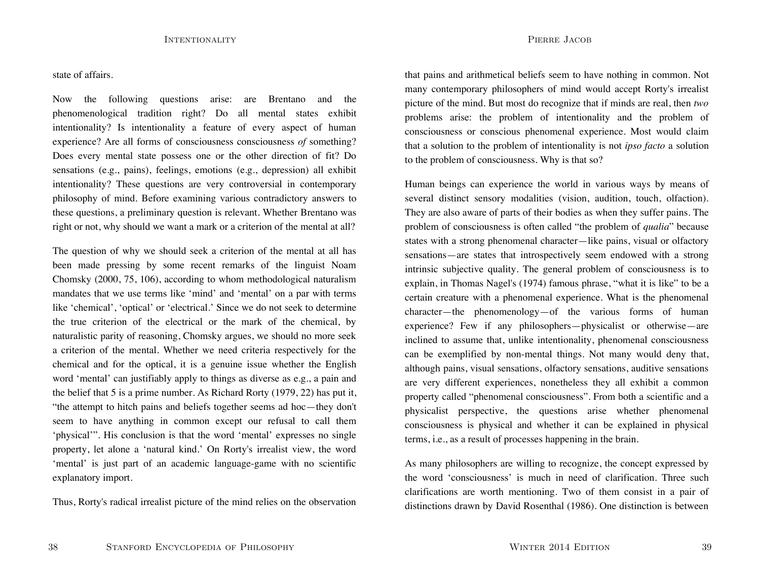#### state of affairs.

Now the following questions arise: are Brentano and the phenomenological tradition right? Do all mental states exhibit intentionality? Is intentionality a feature of every aspect of human experience? Are all forms of consciousness consciousness *of* something? Does every mental state possess one or the other direction of fit? Do sensations (e.g., pains), feelings, emotions (e.g., depression) all exhibit intentionality? These questions are very controversial in contemporary philosophy of mind. Before examining various contradictory answers to these questions, a preliminary question is relevant. Whether Brentano was right or not, why should we want a mark or a criterion of the mental at all?

The question of why we should seek a criterion of the mental at all has been made pressing by some recent remarks of the linguist Noam Chomsky (2000, 75, 106), according to whom methodological naturalism mandates that we use terms like 'mind' and 'mental' on a par with terms like 'chemical', 'optical' or 'electrical.' Since we do not seek to determine the true criterion of the electrical or the mark of the chemical, by naturalistic parity of reasoning, Chomsky argues, we should no more seek a criterion of the mental. Whether we need criteria respectively for the chemical and for the optical, it is a genuine issue whether the English word 'mental' can justifiably apply to things as diverse as e.g., a pain and the belief that 5 is a prime number. As Richard Rorty (1979, 22) has put it, "the attempt to hitch pains and beliefs together seems ad hoc—they don't seem to have anything in common except our refusal to call them 'physical'". His conclusion is that the word 'mental' expresses no single property, let alone a 'natural kind.' On Rorty's irrealist view, the word 'mental' is just part of an academic language-game with no scientific explanatory import.

Thus, Rorty's radical irrealist picture of the mind relies on the observation

that pains and arithmetical beliefs seem to have nothing in common. Not many contemporary philosophers of mind would accept Rorty's irrealist picture of the mind. But most do recognize that if minds are real, then *two* problems arise: the problem of intentionality and the problem of consciousness or conscious phenomenal experience. Most would claim that a solution to the problem of intentionality is not *ipso facto* a solution to the problem of consciousness. Why is that so?

Human beings can experience the world in various ways by means of several distinct sensory modalities (vision, audition, touch, olfaction). They are also aware of parts of their bodies as when they suffer pains. The problem of consciousness is often called "the problem of *qualia*" because states with a strong phenomenal character—like pains, visual or olfactory sensations—are states that introspectively seem endowed with a strong intrinsic subjective quality. The general problem of consciousness is to explain, in Thomas Nagel's (1974) famous phrase, "what it is like" to be a certain creature with a phenomenal experience. What is the phenomenal character—the phenomenology—of the various forms of human experience? Few if any philosophers—physicalist or otherwise—are inclined to assume that, unlike intentionality, phenomenal consciousness can be exemplified by non-mental things. Not many would deny that, although pains, visual sensations, olfactory sensations, auditive sensations are very different experiences, nonetheless they all exhibit a common property called "phenomenal consciousness". From both a scientific and a physicalist perspective, the questions arise whether phenomenal consciousness is physical and whether it can be explained in physical terms, i.e., as a result of processes happening in the brain.

As many philosophers are willing to recognize, the concept expressed by the word 'consciousness' is much in need of clarification. Three suchclarifications are worth mentioning. Two of them consist in a pair of distinctions drawn by David Rosenthal (1986). One distinction is between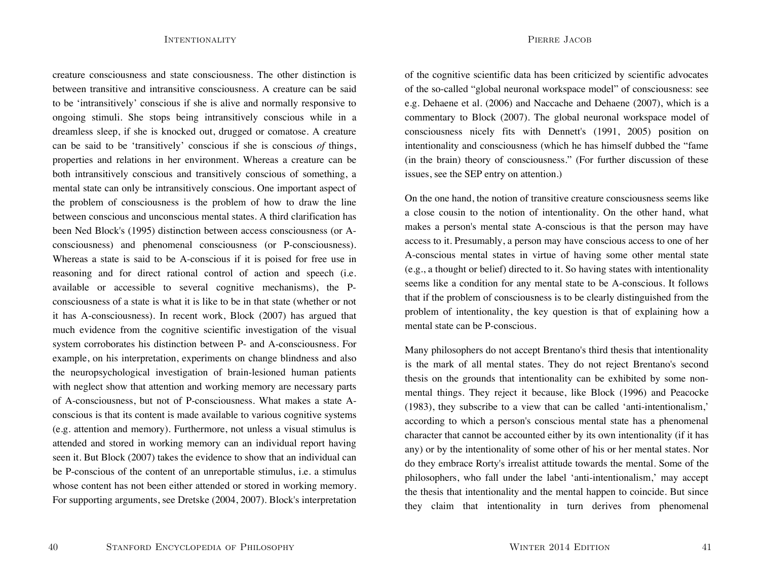creature consciousness and state consciousness. The other distinction isbetween transitive and intransitive consciousness. A creature can be saidto be 'intransitively' conscious if she is alive and normally responsive to ongoing stimuli. She stops being intransitively conscious while in a dreamless sleep, if she is knocked out, drugged or comatose. A creature can be said to be 'transitively' conscious if she is conscious *of* things, properties and relations in her environment. Whereas a creature can be both intransitively conscious and transitively conscious of something, a mental state can only be intransitively conscious. One important aspect of the problem of consciousness is the problem of how to draw the line between conscious and unconscious mental states. A third clarification hasbeen Ned Block's (1995) distinction between access consciousness (or Aconsciousness) and phenomenal consciousness (or P-consciousness). Whereas a state is said to be A-conscious if it is poised for free use in reasoning and for direct rational control of action and speech (i.e. available or accessible to several cognitive mechanisms), the Pconsciousness of a state is what it is like to be in that state (whether or not it has A-consciousness). In recent work, Block (2007) has argued that much evidence from the cognitive scientific investigation of the visual system corroborates his distinction between P- and A-consciousness. For example, on his interpretation, experiments on change blindness and also the neuropsychological investigation of brain-lesioned human patients with neglect show that attention and working memory are necessary parts of A-consciousness, but not of P-consciousness. What makes a state Aconscious is that its content is made available to various cognitive systems (e.g. attention and memory). Furthermore, not unless a visual stimulus is attended and stored in working memory can an individual report having seen it. But Block (2007) takes the evidence to show that an individual can be P-conscious of the content of an unreportable stimulus, i.e. a stimulus whose content has not been either attended or stored in working memory. For supporting arguments, see Dretske (2004, 2007). Block's interpretation PIERRE JACOB

of the cognitive scientific data has been criticized by scientific advocates of the so-called "global neuronal workspace model" of consciousness: see e.g. Dehaene et al. (2006) and Naccache and Dehaene (2007), which is a commentary to Block (2007). The global neuronal workspace model of consciousness nicely fits with Dennett's (1991, 2005) position on intentionality and consciousness (which he has himself dubbed the "fame (in the brain) theory of consciousness." (For further discussion of these issues, see the SEP entry on attention.)

On the one hand, the notion of transitive creature consciousness seems like a close cousin to the notion of intentionality. On the other hand, what makes a person's mental state A-conscious is that the person may have access to it. Presumably, a person may have conscious access to one of her A-conscious mental states in virtue of having some other mental state (e.g., a thought or belief) directed to it. So having states with intentionality seems like a condition for any mental state to be A-conscious. It follows that if the problem of consciousness is to be clearly distinguished from the problem of intentionality, the key question is that of explaining how a mental state can be P-conscious.

Many philosophers do not accept Brentano's third thesis that intentionality is the mark of all mental states. They do not reject Brentano's second thesis on the grounds that intentionality can be exhibited by some nonmental things. They reject it because, like Block (1996) and Peacocke (1983), they subscribe to a view that can be called 'anti-intentionalism,' according to which a person's conscious mental state has a phenomenal character that cannot be accounted either by its own intentionality (if it has any) or by the intentionality of some other of his or her mental states. Nor do they embrace Rorty's irrealist attitude towards the mental. Some of the philosophers, who fall under the label 'anti-intentionalism,' may accept the thesis that intentionality and the mental happen to coincide. But since they claim that intentionality in turn derives from phenomenal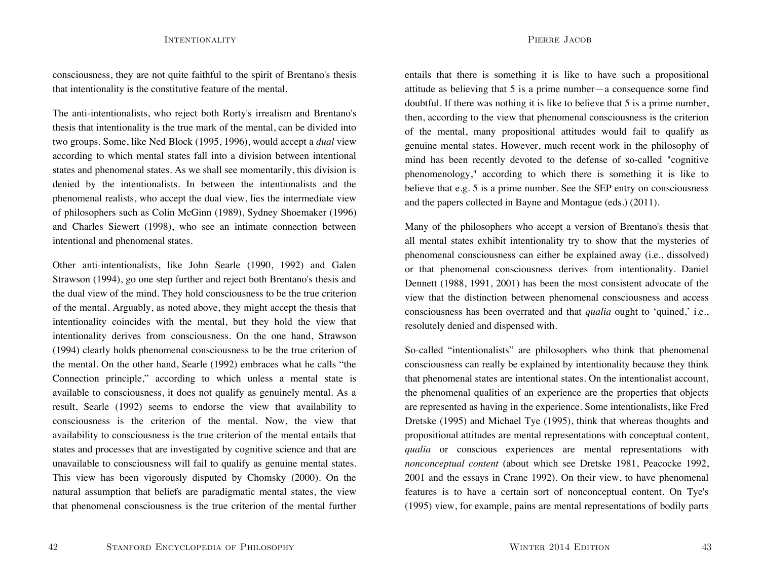consciousness, they are not quite faithful to the spirit of Brentano's thesis that intentionality is the constitutive feature of the mental.

The anti-intentionalists, who reject both Rorty's irrealism and Brentano's thesis that intentionality is the true mark of the mental, can be divided into two groups. Some, like Ned Block (1995, 1996), would accept a *dual* view according to which mental states fall into a division between intentional states and phenomenal states. As we shall see momentarily, this division is denied by the intentionalists. In between the intentionalists and the phenomenal realists, who accept the dual view, lies the intermediate view of philosophers such as Colin McGinn (1989), Sydney Shoemaker (1996) and Charles Siewert (1998), who see an intimate connection between intentional and phenomenal states.

Other anti-intentionalists, like John Searle (1990, 1992) and Galen Strawson (1994), go one step further and reject both Brentano's thesis and the dual view of the mind. They hold consciousness to be the true criterion of the mental. Arguably, as noted above, they might accept the thesis that intentionality coincides with the mental, but they hold the view that intentionality derives from consciousness. On the one hand, Strawson (1994) clearly holds phenomenal consciousness to be the true criterion of the mental. On the other hand, Searle (1992) embraces what he calls "the Connection principle," according to which unless a mental state is available to consciousness, it does not qualify as genuinely mental. As a result, Searle (1992) seems to endorse the view that availability to consciousness is the criterion of the mental. Now, the view that availability to consciousness is the true criterion of the mental entails that states and processes that are investigated by cognitive science and that are unavailable to consciousness will fail to qualify as genuine mental states. This view has been vigorously disputed by Chomsky (2000). On the natural assumption that beliefs are paradigmatic mental states, the view that phenomenal consciousness is the true criterion of the mental further

entails that there is something it is like to have such a propositional attitude as believing that  $5$  is a prime number—a consequence some find doubtful. If there was nothing it is like to believe that 5 is a prime number, then, according to the view that phenomenal consciousness is the criterion of the mental, many propositional attitudes would fail to qualify as genuine mental states. However, much recent work in the philosophy of mind has been recently devoted to the defense of so-called "cognitive phenomenology," according to which there is something it is like to believe that e.g. 5 is a prime number. See the SEP entry on consciousness and the papers collected in Bayne and Montague (eds.) (2011).

Many of the philosophers who accept a version of Brentano's thesis that all mental states exhibit intentionality try to show that the mysteries of phenomenal consciousness can either be explained away (i.e., dissolved) or that phenomenal consciousness derives from intentionality. Daniel Dennett (1988, 1991, 2001) has been the most consistent advocate of the view that the distinction between phenomenal consciousness and access consciousness has been overrated and that *qualia* ought to 'quined,' i.e., resolutely denied and dispensed with.

So-called "intentionalists" are philosophers who think that phenomenal consciousness can really be explained by intentionality because they think that phenomenal states are intentional states. On the intentionalist account, the phenomenal qualities of an experience are the properties that objects are represented as having in the experience. Some intentionalists, like Fred Dretske (1995) and Michael Tye (1995), think that whereas thoughts and propositional attitudes are mental representations with conceptual content, *qualia* or conscious experiences are mental representations with *nonconceptual content* (about which see Dretske 1981, Peacocke 1992, 2001 and the essays in Crane 1992). On their view, to have phenomenal features is to have a certain sort of nonconceptual content. On Tye's (1995) view, for example, pains are mental representations of bodily parts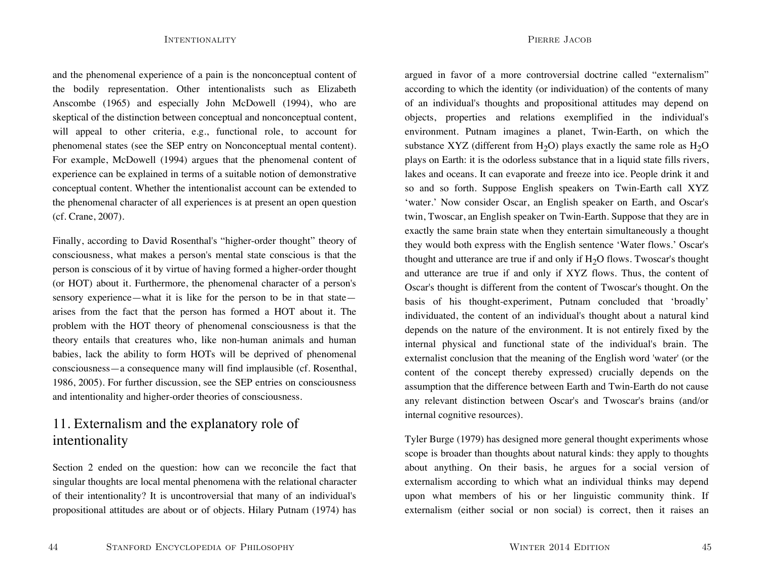and the phenomenal experience of a pain is the nonconceptual content of the bodily representation. Other intentionalists such as Elizabeth Anscombe (1965) and especially John McDowell (1994), who are skeptical of the distinction between conceptual and nonconceptual content, will appeal to other criteria, e.g., functional role, to account for phenomenal states (see the SEP entry on Nonconceptual mental content). For example, McDowell (1994) argues that the phenomenal content of experience can be explained in terms of a suitable notion of demonstrative conceptual content. Whether the intentionalist account can be extended to the phenomenal character of all experiences is at present an open question (cf. Crane, 2007).

Finally, according to David Rosenthal's "higher-order thought" theory of consciousness, what makes a person's mental state conscious is that the person is conscious of it by virtue of having formed a higher-order thought (or HOT) about it. Furthermore, the phenomenal character of a person's sensory experience—what it is like for the person to be in that state arises from the fact that the person has formed a HOT about it. The problem with the HOT theory of phenomenal consciousness is that the theory entails that creatures who, like non-human animals and human babies, lack the ability to form HOTs will be deprived of phenomenal consciousness—a consequence many will find implausible (cf. Rosenthal, 1986, 2005). For further discussion, see the SEP entries on consciousness and intentionality and higher-order theories of consciousness.

# 11. Externalism and the explanatory role of intentionality

Section 2 ended on the question: how can we reconcile the fact that singular thoughts are local mental phenomena with the relational character of their intentionality? It is uncontroversial that many of an individual's propositional attitudes are about or of objects. Hilary Putnam (1974) has

argued in favor of a more controversial doctrine called "externalism" according to which the identity (or individuation) of the contents of many of an individual's thoughts and propositional attitudes may depend on objects, properties and relations exemplified in the individual's environment. Putnam imagines a planet, Twin-Earth, on which the substance XYZ (different from  $H_2O$ ) plays exactly the same role as  $H_2O$ plays on Earth: it is the odorless substance that in a liquid state fills rivers, lakes and oceans. It can evaporate and freeze into ice. People drink it and so and so forth. Suppose English speakers on Twin-Earth call XYZ 'water.' Now consider Oscar, an English speaker on Earth, and Oscar's twin, Twoscar, an English speaker on Twin-Earth. Suppose that they are in exactly the same brain state when they entertain simultaneously a thought they would both express with the English sentence 'Water flows.' Oscar's thought and utterance are true if and only if  $H<sub>2</sub>O$  flows. Twoscar's thought and utterance are true if and only if XYZ flows. Thus, the content of Oscar's thought is different from the content of Twoscar's thought. On the basis of his thought-experiment, Putnam concluded that 'broadly' individuated, the content of an individual's thought about a natural kind depends on the nature of the environment. It is not entirely fixed by the internal physical and functional state of the individual's brain. The externalist conclusion that the meaning of the English word 'water' (or the content of the concept thereby expressed) crucially depends on the assumption that the difference between Earth and Twin-Earth do not cause any relevant distinction between Oscar's and Twoscar's brains (and/or internal cognitive resources).

Tyler Burge (1979) has designed more general thought experiments whose scope is broader than thoughts about natural kinds: they apply to thoughts about anything. On their basis, he argues for a social version of externalism according to which what an individual thinks may depend upon what members of his or her linguistic community think. If externalism (either social or non social) is correct, then it raises an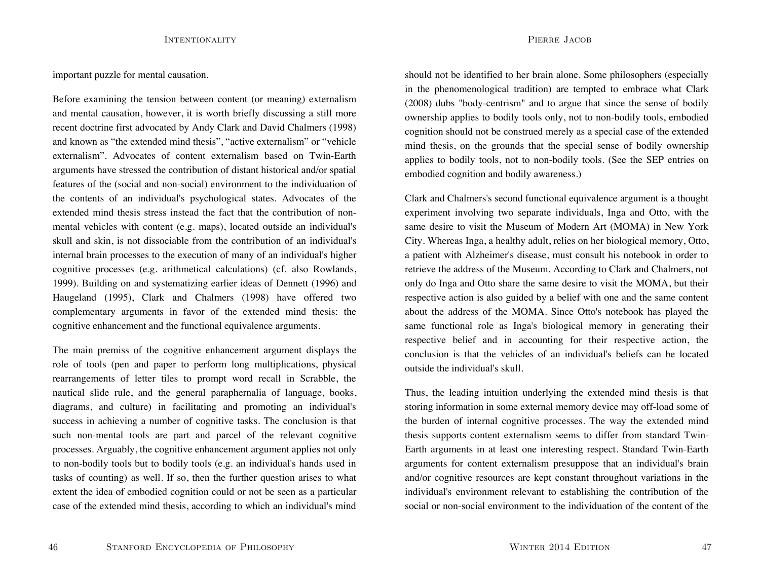important puzzle for mental causation.

Before examining the tension between content (or meaning) externalism and mental causation, however, it is worth briefly discussing a still more recent doctrine first advocated by Andy Clark and David Chalmers (1998) and known as "the extended mind thesis", "active externalism" or "vehicle externalism". Advocates of content externalism based on Twin-Eartharguments have stressed the contribution of distant historical and/or spatial features of the (social and non-social) environment to the individuation of the contents of an individual's psychological states. Advocates of the extended mind thesis stress instead the fact that the contribution of nonmental vehicles with content (e.g. maps), located outside an individual's skull and skin, is not dissociable from the contribution of an individual's internal brain processes to the execution of many of an individual's higher cognitive processes (e.g. arithmetical calculations) (cf. also Rowlands, 1999). Building on and systematizing earlier ideas of Dennett (1996) and Haugeland (1995), Clark and Chalmers (1998) have offered two complementary arguments in favor of the extended mind thesis: the cognitive enhancement and the functional equivalence arguments.

The main premiss of the cognitive enhancement argument displays the role of tools (pen and paper to perform long multiplications, physical rearrangements of letter tiles to prompt word recall in Scrabble, the nautical slide rule, and the general paraphernalia of language, books, diagrams, and culture) in facilitating and promoting an individual's success in achieving a number of cognitive tasks. The conclusion is that such non-mental tools are part and parcel of the relevant cognitive processes. Arguably, the cognitive enhancement argument applies not only to non-bodily tools but to bodily tools (e.g. an individual's hands used in tasks of counting) as well. If so, then the further question arises to what extent the idea of embodied cognition could or not be seen as a particular case of the extended mind thesis, according to which an individual's mind

should not be identified to her brain alone. Some philosophers (especially in the phenomenological tradition) are tempted to embrace what Clark (2008) dubs "body-centrism" and to argue that since the sense of bodily ownership applies to bodily tools only, not to non-bodily tools, embodied cognition should not be construed merely as a special case of the extended mind thesis, on the grounds that the special sense of bodily ownership applies to bodily tools, not to non-bodily tools. (See the SEP entries on embodied cognition and bodily awareness.)

Clark and Chalmers's second functional equivalence argument is a thought experiment involving two separate individuals, Inga and Otto, with the same desire to visit the Museum of Modern Art (MOMA) in New York City. Whereas Inga, a healthy adult, relies on her biological memory, Otto, a patient with Alzheimer's disease, must consult his notebook in order to retrieve the address of the Museum. According to Clark and Chalmers, not only do Inga and Otto share the same desire to visit the MOMA, but their respective action is also guided by a belief with one and the same content about the address of the MOMA. Since Otto's notebook has played the same functional role as Inga's biological memory in generating their respective belief and in accounting for their respective action, the conclusion is that the vehicles of an individual's beliefs can be locatedoutside the individual's skull.

Thus, the leading intuition underlying the extended mind thesis is that storing information in some external memory device may off-load some of the burden of internal cognitive processes. The way the extended mind thesis supports content externalism seems to differ from standard Twin-Earth arguments in at least one interesting respect. Standard Twin-Earth arguments for content externalism presuppose that an individual's brain and/or cognitive resources are kept constant throughout variations in the individual's environment relevant to establishing the contribution of the social or non-social environment to the individuation of the content of the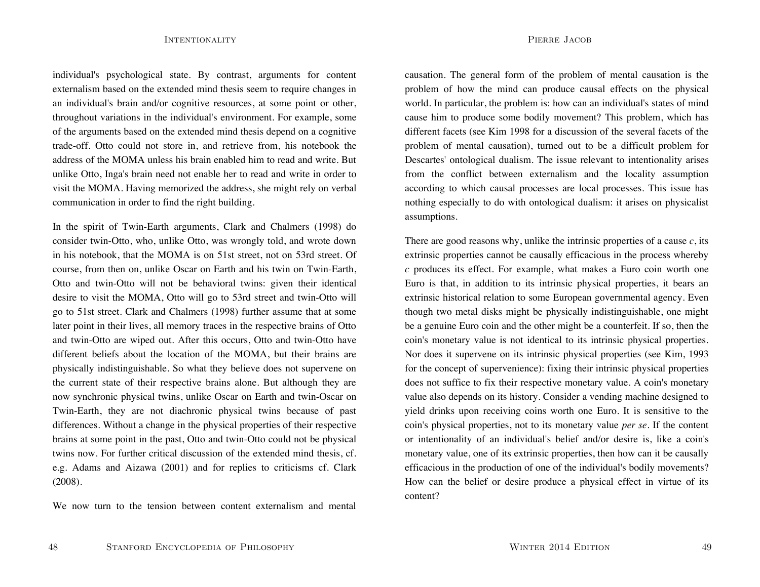individual's psychological state. By contrast, arguments for content externalism based on the extended mind thesis seem to require changes in an individual's brain and/or cognitive resources, at some point or other, throughout variations in the individual's environment. For example, some of the arguments based on the extended mind thesis depend on a cognitive trade-off. Otto could not store in, and retrieve from, his notebook the address of the MOMA unless his brain enabled him to read and write. Butunlike Otto, Inga's brain need not enable her to read and write in order to visit the MOMA. Having memorized the address, she might rely on verbal communication in order to find the right building.

In the spirit of Twin-Earth arguments, Clark and Chalmers (1998) do consider twin-Otto, who, unlike Otto, was wrongly told, and wrote down in his notebook, that the MOMA is on 51st street, not on 53rd street. Of course, from then on, unlike Oscar on Earth and his twin on Twin-Earth, Otto and twin-Otto will not be behavioral twins: given their identical desire to visit the MOMA, Otto will go to 53rd street and twin-Otto will go to 51st street. Clark and Chalmers (1998) further assume that at some later point in their lives, all memory traces in the respective brains of Otto and twin-Otto are wiped out. After this occurs, Otto and twin-Otto have different beliefs about the location of the MOMA, but their brains are physically indistinguishable. So what they believe does not supervene on the current state of their respective brains alone. But although they are now synchronic physical twins, unlike Oscar on Earth and twin-Oscar on Twin-Earth, they are not diachronic physical twins because of past differences. Without a change in the physical properties of their respective brains at some point in the past, Otto and twin-Otto could not be physical twins now. For further critical discussion of the extended mind thesis, cf. e.g. Adams and Aizawa (2001) and for replies to criticisms cf. Clark (2008).

We now turn to the tension between content externalism and mental

causation. The general form of the problem of mental causation is the problem of how the mind can produce causal effects on the physical world. In particular, the problem is: how can an individual's states of mind cause him to produce some bodily movement? This problem, which has different facets (see Kim 1998 for a discussion of the several facets of the problem of mental causation), turned out to be a difficult problem for Descartes' ontological dualism. The issue relevant to intentionality arises from the conflict between externalism and the locality assumption according to which causal processes are local processes. This issue has nothing especially to do with ontological dualism: it arises on physicalist assumptions.

There are good reasons why, unlike the intrinsic properties of a cause *<sup>c</sup>*, its extrinsic properties cannot be causally efficacious in the process whereby *<sup>c</sup>* produces its effect. For example, what makes a Euro coin worth one Euro is that, in addition to its intrinsic physical properties, it bears an extrinsic historical relation to some European governmental agency. Even though two metal disks might be physically indistinguishable, one might be a genuine Euro coin and the other might be a counterfeit. If so, then the coin's monetary value is not identical to its intrinsic physical properties. Nor does it supervene on its intrinsic physical properties (see Kim, 1993 for the concept of supervenience): fixing their intrinsic physical properties does not suffice to fix their respective monetary value. A coin's monetary value also depends on its history. Consider a vending machine designed to yield drinks upon receiving coins worth one Euro. It is sensitive to the coin's physical properties, not to its monetary value *per se*. If the content or intentionality of an individual's belief and/or desire is, like a coin's monetary value, one of its extrinsic properties, then how can it be causally efficacious in the production of one of the individual's bodily movements? How can the belief or desire produce a physical effect in virtue of its content?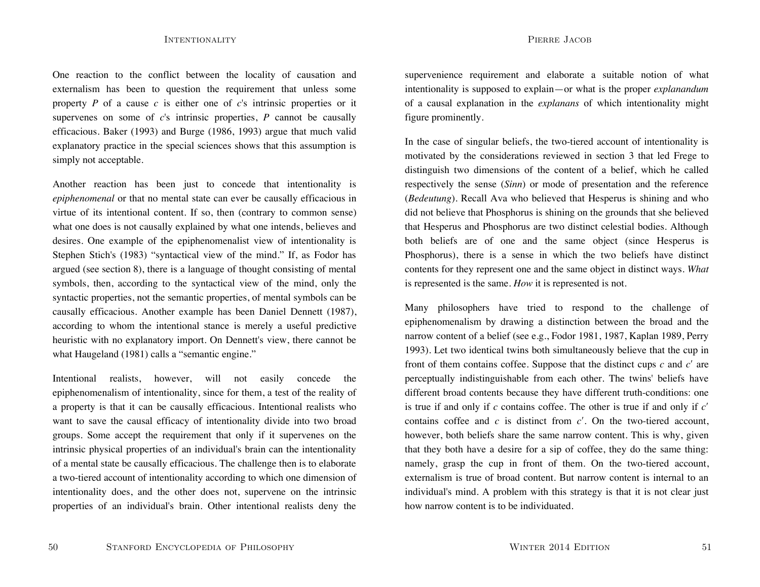One reaction to the conflict between the locality of causation and externalism has been to question the requirement that unless some property  $P$  of a cause  $c$  is either one of  $c$ 's intrinsic properties or it supervenes on some of *c*'s intrinsic properties, *P* cannot be causally efficacious. Baker (1993) and Burge (1986, 1993) argue that much valid explanatory practice in the special sciences shows that this assumption is simply not acceptable.

Another reaction has been just to concede that intentionality is *epiphenomenal* or that no mental state can ever be causally efficacious in virtue of its intentional content. If so, then (contrary to common sense) what one does is not causally explained by what one intends, believes and desires. One example of the epiphenomenalist view of intentionality is Stephen Stich's (1983) "syntactical view of the mind." If, as Fodor has argued (see section 8), there is a language of thought consisting of mental symbols, then, according to the syntactical view of the mind, only the syntactic properties, not the semantic properties, of mental symbols can be causally efficacious. Another example has been Daniel Dennett (1987), according to whom the intentional stance is merely a useful predictive heuristic with no explanatory import. On Dennett's view, there cannot be what Haugeland (1981) calls a "semantic engine."

Intentional realists, however, will not easily concede the epiphenomenalism of intentionality, since for them, a test of the reality of a property is that it can be causally efficacious. Intentional realists who want to save the causal efficacy of intentionality divide into two broad groups. Some accept the requirement that only if it supervenes on the intrinsic physical properties of an individual's brain can the intentionality of a mental state be causally efficacious. The challenge then is to elaborate a two-tiered account of intentionality according to which one dimension of intentionality does, and the other does not, supervene on the intrinsic properties of an individual's brain. Other intentional realists deny the

supervenience requirement and elaborate a suitable notion of what intentionality is supposed to explain—or what is the proper *explanandum* of a causal explanation in the *explanans* of which intentionality might figure prominently.

In the case of singular beliefs, the two-tiered account of intentionality is motivated by the considerations reviewed in section 3 that led Frege to distinguish two dimensions of the content of a belief, which he called respectively the sense (*Sinn*) or mode of presentation and the reference (*Bedeutung*). Recall Ava who believed that Hesperus is shining and who did not believe that Phosphorus is shining on the grounds that she believed that Hesperus and Phosphorus are two distinct celestial bodies. Although both beliefs are of one and the same object (since Hesperus is Phosphorus), there is a sense in which the two beliefs have distinct contents for they represent one and the same object in distinct ways. *What* is represented is the same. *How* it is represented is not.

Many philosophers have tried to respond to the challenge of epiphenomenalism by drawing a distinction between the broad and the narrow content of a belief (see e.g., Fodor 1981, 1987, Kaplan 1989, Perry 1993). Let two identical twins both simultaneously believe that the cup in front of them contains coffee. Suppose that the distinct cups  $c$  and  $c'$  are perceptually indistinguishable from each other. The twins' beliefs have different broad contents because they have different truth-conditions: one is true if and only if *c* contains coffee. The other is true if and only if *c*<sup>ʹ</sup> contains coffee and  $c$  is distinct from  $c'$ . On the two-tiered account, however, both beliefs share the same narrow content. This is why, given that they both have a desire for a sip of coffee, they do the same thing: namely, grasp the cup in front of them. On the two-tiered account, externalism is true of broad content. But narrow content is internal to anindividual's mind. A problem with this strategy is that it is not clear just how narrow content is to be individuated.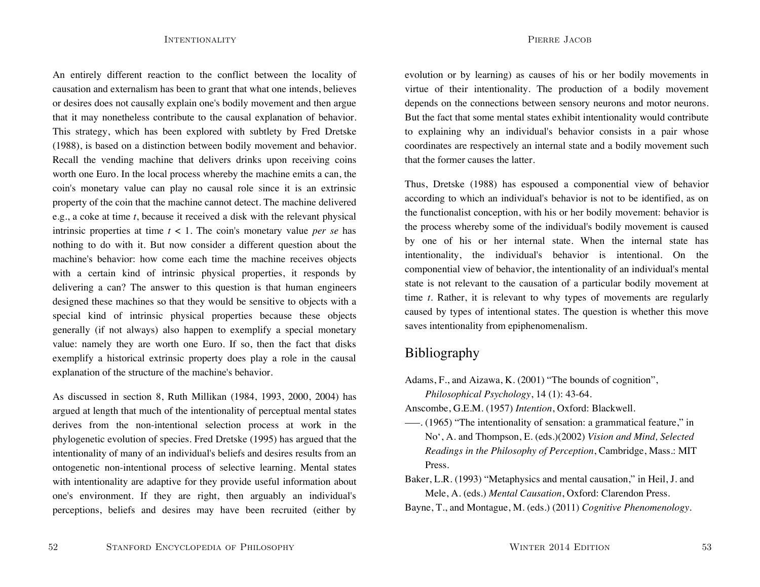An entirely different reaction to the conflict between the locality of causation and externalism has been to grant that what one intends, believes or desires does not causally explain one's bodily movement and then argue that it may nonetheless contribute to the causal explanation of behavior. This strategy, which has been explored with subtlety by Fred Dretske (1988), is based on a distinction between bodily movement and behavior. Recall the vending machine that delivers drinks upon receiving coins worth one Euro. In the local process whereby the machine emits a can, the coin's monetary value can play no causal role since it is an extrinsic property of the coin that the machine cannot detect. The machine delivered e.g., a coke at time *t*, because it received a disk with the relevant physical intrinsic properties at time *t* < 1. The coin's monetary value *per se* has nothing to do with it. But now consider a different question about the machine's behavior: how come each time the machine receives objects with a certain kind of intrinsic physical properties, it responds by delivering a can? The answer to this question is that human engineers designed these machines so that they would be sensitive to objects with a special kind of intrinsic physical properties because these objects generally (if not always) also happen to exemplify a special monetary value: namely they are worth one Euro. If so, then the fact that disks exemplify a historical extrinsic property does play a role in the causal explanation of the structure of the machine's behavior.

As discussed in section 8, Ruth Millikan (1984, 1993, 2000, 2004) has argued at length that much of the intentionality of perceptual mental states derives from the non-intentional selection process at work in the phylogenetic evolution of species. Fred Dretske (1995) has argued that the intentionality of many of an individual's beliefs and desires results from an ontogenetic non-intentional process of selective learning. Mental states with intentionality are adaptive for they provide useful information about one's environment. If they are right, then arguably an individual's perceptions, beliefs and desires may have been recruited (either by

evolution or by learning) as causes of his or her bodily movements in virtue of their intentionality. The production of a bodily movement depends on the connections between sensory neurons and motor neurons. But the fact that some mental states exhibit intentionality would contribute to explaining why an individual's behavior consists in a pair whose coordinates are respectively an internal state and a bodily movement such

Thus, Dretske (1988) has espoused a componential view of behavior according to which an individual's behavior is not to be identified, as on the functionalist conception, with his or her bodily movement: behavior is the process whereby some of the individual's bodily movement is caused by one of his or her internal state. When the internal state has intentionality, the individual's behavior is intentional. On the componential view of behavior, the intentionality of an individual's mental state is not relevant to the causation of a particular bodily movement at time *t*. Rather, it is relevant to why types of movements are regularly caused by types of intentional states. The question is whether this move saves intentionality from epiphenomenalism.

# Bibliography

that the former causes the latter.

Adams, F., and Aizawa, K. (2001) "The bounds of cognition",

*Philosophical Psychology*, 14 (1): 43-64.

- Anscombe, G.E.M. (1957) *Intention*, Oxford: Blackwell.
- –––. (1965) "The intentionality of sensation: a grammatical feature," in No', A. and Thompson, E. (eds.)(2002) *Vision and Mind, Selected Readings in the Philosophy of Perception*, Cambridge, Mass.: MIT Press.
- Baker, L.R. (1993) "Metaphysics and mental causation," in Heil, J. and Mele, A. (eds.) *Mental Causation*, Oxford: Clarendon Press.
- Bayne, T., and Montague, M. (eds.) (2011) *Cognitive Phenomenology*.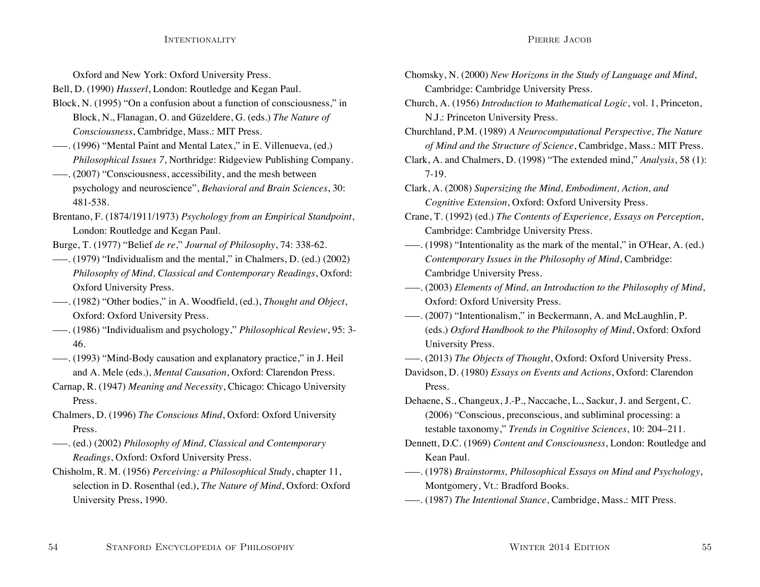Oxford and New York: Oxford University Press.

Bell, D. (1990) *Husserl*, London: Routledge and Kegan Paul.

- Block, N. (1995) "On a confusion about a function of consciousness," in Block, N., Flanagan, O. and Güzeldere, G. (eds.) *The Nature of Consciousness*, Cambridge, Mass.: MIT Press.
- –––. (1996) "Mental Paint and Mental Latex," in E. Villenueva, (ed.) *Philosophical Issues 7*, Northridge: Ridgeview Publishing Company.
- –––. (2007) "Consciousness, accessibility, and the mesh between psychology and neuroscience", *Behavioral and Brain Sciences*, 30: 481-538.
- Brentano, F. (1874/1911/1973) *Psychology from an Empirical Standpoint*, London: Routledge and Kegan Paul.
- Burge, T. (1977) "Belief *de re*," *Journal of Philosophy*, 74: 338-62.
- –––. (1979) "Individualism and the mental," in Chalmers, D. (ed.) (2002) *Philosophy of Mind, Classical and Contemporary Readings*, Oxford: Oxford University Press.
- –––. (1982) "Other bodies," in A. Woodfield, (ed.), *Thought and Object*, Oxford: Oxford University Press.
- –––. (1986) "Individualism and psychology," *Philosophical Review*, 95: 3- 46.
- –––. (1993) "Mind-Body causation and explanatory practice," in J. Heil and A. Mele (eds.), *Mental Causation*, Oxford: Clarendon Press.
- Carnap, R. (1947) *Meaning and Necessity*, Chicago: Chicago University Press.
- Chalmers, D. (1996) *The Conscious Mind*, Oxford: Oxford University Press.
- –––. (ed.) (2002) *Philosophy of Mind, Classical and Contemporary Readings*, Oxford: Oxford University Press.
- Chisholm, R. M. (1956) *Perceiving: a Philosophical Study*, chapter 11, selection in D. Rosenthal (ed.), *The Nature of Mind*, Oxford: Oxford University Press, 1990.
- Chomsky, N. (2000) *New Horizons in the Study of Language and Mind*, Cambridge: Cambridge University Press.
- Church, A. (1956) *Introduction to Mathematical Logic*, vol. 1, Princeton, N.J.: Princeton University Press.
- Churchland, P.M. (1989) *A Neurocomputational Perspective, The Nature of Mind and the Structure of Science*, Cambridge, Mass.: MIT Press.
- Clark, A. and Chalmers, D. (1998) "The extended mind," *Analysis*, 58 (1): 7-19.
- Clark, A. (2008) *Supersizing the Mind, Embodiment, Action, and Cognitive Extension*, Oxford: Oxford University Press.
- Crane, T. (1992) (ed.) *The Contents of Experience, Essays on Perception*, Cambridge: Cambridge University Press.
- –––. (1998) "Intentionality as the mark of the mental," in O'Hear, A. (ed.) *Contemporary Issues in the Philosophy of Mind*, Cambridge: Cambridge University Press.
- –––. (2003) *Elements of Mind, an Introduction to the Philosophy of Mind*, Oxford: Oxford University Press.
- –––. (2007) "Intentionalism," in Beckermann, A. and McLaughlin, P. (eds.) *Oxford Handbook to the Philosophy of Mind*, Oxford: Oxford University Press.
- –––. (2013) *The Objects of Thought*, Oxford: Oxford University Press.
- Davidson, D. (1980) *Essays on Events and Actions*, Oxford: Clarendon Press.
- Dehaene, S., Changeux, J.-P., Naccache, L., Sackur, J. and Sergent, C. (2006) "Conscious, preconscious, and subliminal processing: a testable taxonomy," *Trends in Cognitive Sciences*, 10: 204–211.
- Dennett, D.C. (1969) *Content and Consciousness*, London: Routledge and Kean Paul.
- –––. (1978) *Brainstorms, Philosophical Essays on Mind and Psychology*, Montgomery, Vt.: Bradford Books.
- –––. (1987) *The Intentional Stance*, Cambridge, Mass.: MIT Press.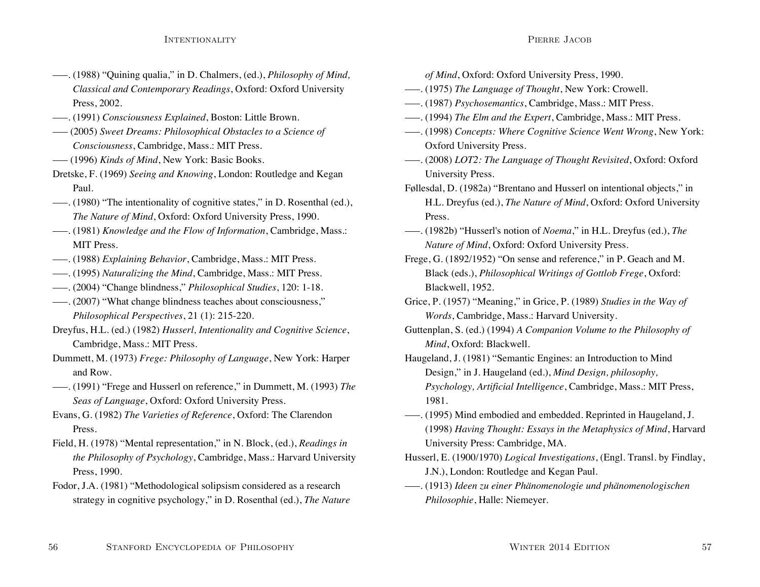- –––. (1988) "Quining qualia," in D. Chalmers, (ed.), *Philosophy of Mind, Classical and Contemporary Readings*, Oxford: Oxford University Press, 2002.
- –––. (1991) *Consciousness Explained*, Boston: Little Brown.
- ––– (2005) *Sweet Dreams: Philosophical Obstacles to a Science of Consciousness*, Cambridge, Mass.: MIT Press.
- ––– (1996) *Kinds of Mind*, New York: Basic Books.
- Dretske, F. (1969) *Seeing and Knowing*, London: Routledge and Kegan Paul.
- –––. (1980) "The intentionality of cognitive states," in D. Rosenthal (ed.), *The Nature of Mind*, Oxford: Oxford University Press, 1990.
- –––. (1981) *Knowledge and the Flow of Information*, Cambridge, Mass.: MIT Press.
- –––. (1988) *Explaining Behavior*, Cambridge, Mass.: MIT Press.
- –––. (1995) *Naturalizing the Mind*, Cambridge, Mass.: MIT Press.
- –––. (2004) "Change blindness," *Philosophical Studies*, 120: 1-18.
- –––. (2007) "What change blindness teaches about consciousness," *Philosophical Perspectives*, 21 (1): 215-220.
- Dreyfus, H.L. (ed.) (1982) *Husserl, Intentionality and Cognitive Science*, Cambridge, Mass.: MIT Press.
- Dummett, M. (1973) *Frege: Philosophy of Language*, New York: Harper and Row.
- –––. (1991) "Frege and Husserl on reference," in Dummett, M. (1993) *The Seas of Language*, Oxford: Oxford University Press.
- Evans, G. (1982) *The Varieties of Reference*, Oxford: The Clarendon Press.
- Field, H. (1978) "Mental representation," in N. Block, (ed.), *Readings in the Philosophy of Psychology*, Cambridge, Mass.: Harvard University Press, 1990.
- Fodor, J.A. (1981) "Methodological solipsism considered as a research strategy in cognitive psychology," in D. Rosenthal (ed.), *The Nature*

*of Mind*, Oxford: Oxford University Press, 1990.

- –––. (1975) *The Language of Thought*, New York: Crowell.
- –––. (1987) *Psychosemantics*, Cambridge, Mass.: MIT Press.
- –––. (1994) *The Elm and the Expert*, Cambridge, Mass.: MIT Press.
- –––. (1998) *Concepts: Where Cognitive Science Went Wrong*, New York: Oxford University Press.
- –––. (2008) *LOT2: The Language of Thought Revisited*, Oxford: Oxford University Press.
- Føllesdal, D. (1982a) "Brentano and Husserl on intentional objects," in H.L. Dreyfus (ed.), *The Nature of Mind*, Oxford: Oxford University Press.
- –––. (1982b) "Husserl's notion of *Noema*," in H.L. Dreyfus (ed.), *The Nature of Mind*, Oxford: Oxford University Press.
- Frege, G. (1892/1952) "On sense and reference," in P. Geach and M. Black (eds.), *Philosophical Writings of Gottlob Frege*, Oxford: Blackwell, 1952.
- Grice, P. (1957) "Meaning," in Grice, P. (1989) *Studies in the Way of Words*, Cambridge, Mass.: Harvard University.
- Guttenplan, S. (ed.) (1994) *A Companion Volume to the Philosophy of Mind*, Oxford: Blackwell.
- Haugeland, J. (1981) "Semantic Engines: an Introduction to Mind Design," in J. Haugeland (ed.), *Mind Design, philosophy, Psychology, Artificial Intelligence*, Cambridge, Mass.: MIT Press, 1981.
- –––. (1995) Mind embodied and embedded. Reprinted in Haugeland, J. (1998) *Having Thought: Essays in the Metaphysics of Mind*, Harvard University Press: Cambridge, MA.
- Husserl, E. (1900/1970) *Logical Investigations*, (Engl. Transl. by Findlay, J.N.), London: Routledge and Kegan Paul.
- –––. (1913) *Ideen zu einer Phänomenologie und phänomenologischen Philosophie*, Halle: Niemeyer.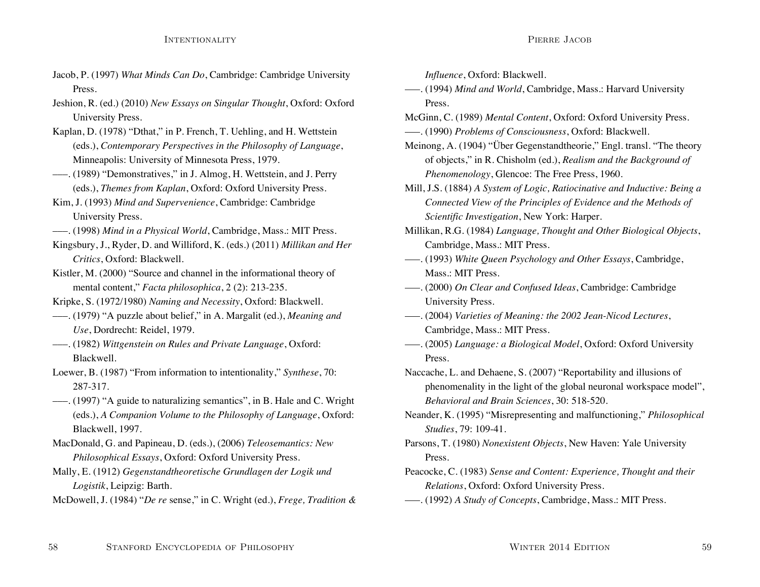- Jacob, P. (1997) *What Minds Can Do*, Cambridge: Cambridge University Press.
- Jeshion, R. (ed.) (2010) *New Essays on Singular Thought*, Oxford: Oxford University Press.
- Kaplan, D. (1978) "Dthat," in P. French, T. Uehling, and H. Wettstein (eds.), *Contemporary Perspectives in the Philosophy of Language*, Minneapolis: University of Minnesota Press, 1979.
- –––. (1989) "Demonstratives," in J. Almog, H. Wettstein, and J. Perry (eds.), *Themes from Kaplan*, Oxford: Oxford University Press.
- Kim, J. (1993) *Mind and Supervenience*, Cambridge: Cambridge University Press.
- –––. (1998) *Mind in a Physical World*, Cambridge, Mass.: MIT Press.
- Kingsbury, J., Ryder, D. and Williford, K. (eds.) (2011) *Millikan and Her Critics*, Oxford: Blackwell.
- Kistler, M. (2000) "Source and channel in the informational theory of mental content," *Facta philosophica*, 2 (2): 213-235.
- Kripke, S. (1972/1980) *Naming and Necessity*, Oxford: Blackwell.
- –––. (1979) "A puzzle about belief," in A. Margalit (ed.), *Meaning and Use*, Dordrecht: Reidel, 1979.
- –––. (1982) *Wittgenstein on Rules and Private Language*, Oxford: Blackwell.
- Loewer, B. (1987) "From information to intentionality," *Synthese*, 70: 287-317.
- –––. (1997) "A guide to naturalizing semantics", in B. Hale and C. Wright (eds.), *A Companion Volume to the Philosophy of Language*, Oxford: Blackwell, 1997.
- MacDonald, G. and Papineau, D. (eds.), (2006) *Teleosemantics: New Philosophical Essays*, Oxford: Oxford University Press.
- Mally, E. (1912) *Gegenstandtheoretische Grundlagen der Logik und Logistik*, Leipzig: Barth.

McDowell, J. (1984) "*De re* sense," in C. Wright (ed.), *Frege, Tradition &*

*Influence*, Oxford: Blackwell.

- –––. (1994) *Mind and World*, Cambridge, Mass.: Harvard University Press.
- McGinn, C. (1989) *Mental Content*, Oxford: Oxford University Press.
- –––. (1990) *Problems of Consciousness*, Oxford: Blackwell.
- Meinong, A. (1904) "Über Gegenstandtheorie," Engl. transl. "The theory of objects," in R. Chisholm (ed.), *Realism and the Background of Phenomenology*, Glencoe: The Free Press, 1960.
- Mill, J.S. (1884) *A System of Logic, Ratiocinative and Inductive: Being a Connected View of the Principles of Evidence and the Methods of Scientific Investigation*, New York: Harper.
- Millikan, R.G. (1984) *Language, Thought and Other Biological Objects*, Cambridge, Mass.: MIT Press.
- –––. (1993) *White Queen Psychology and Other Essays*, Cambridge, Mass.: MIT Press.
- –––. (2000) *On Clear and Confused Ideas*, Cambridge: Cambridge University Press.
- –––. (2004) *Varieties of Meaning: the 2002 Jean-Nicod Lectures*, Cambridge, Mass.: MIT Press.
- –––. (2005) *Language: a Biological Model*, Oxford: Oxford University Press.
- Naccache, L. and Dehaene, S. (2007) "Reportability and illusions of phenomenality in the light of the global neuronal workspace model", *Behavioral and Brain Sciences*, 30: 518-520.
- Neander, K. (1995) "Misrepresenting and malfunctioning," *Philosophical Studies*, 79: 109-41.
- Parsons, T. (1980) *Nonexistent Objects*, New Haven: Yale University Press.
- Peacocke, C. (1983) *Sense and Content: Experience, Thought and their Relations*, Oxford: Oxford University Press.
- –––. (1992) *A Study of Concepts*, Cambridge, Mass.: MIT Press.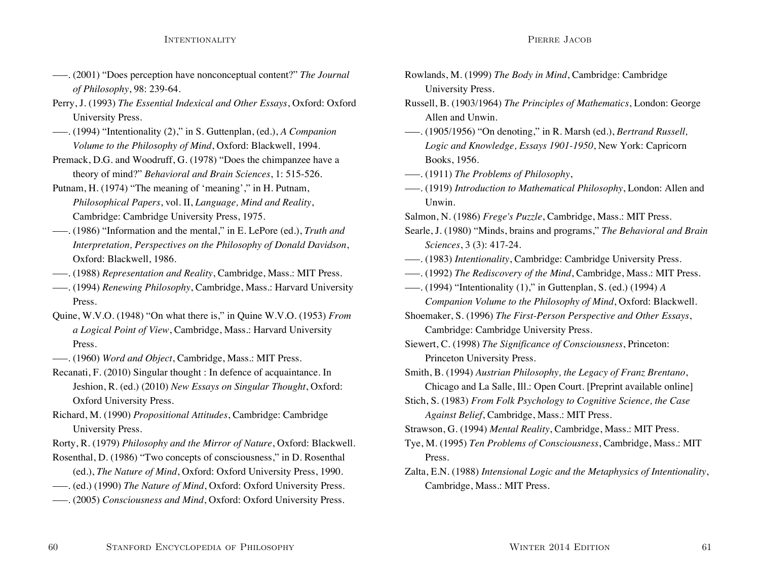- –––. (2001) "Does perception have nonconceptual content?" *The Journal of Philosophy*, 98: 239-64.
- Perry, J. (1993) *The Essential Indexical and Other Essays*, Oxford: Oxford University Press.
- –––. (1994) "Intentionality (2)," in S. Guttenplan, (ed.), *A Companion Volume to the Philosophy of Mind*, Oxford: Blackwell, 1994.
- Premack, D.G. and Woodruff, G. (1978) "Does the chimpanzee have a theory of mind?" *Behavioral and Brain Sciences*, 1: 515-526.
- Putnam, H. (1974) "The meaning of 'meaning'," in H. Putnam, *Philosophical Papers*, vol. II, *Language, Mind and Reality*, Cambridge: Cambridge University Press, 1975.
- –––. (1986) "Information and the mental," in E. LePore (ed.), *Truth and Interpretation, Perspectives on the Philosophy of Donald Davidson*, Oxford: Blackwell, 1986.
- –––. (1988) *Representation and Reality*, Cambridge, Mass.: MIT Press.
- –––. (1994) *Renewing Philosophy*, Cambridge, Mass.: Harvard University Press.
- Quine, W.V.O. (1948) "On what there is," in Quine W.V.O. (1953) *From a Logical Point of View*, Cambridge, Mass.: Harvard University Press.
- –––. (1960) *Word and Object*, Cambridge, Mass.: MIT Press.
- Recanati, F. (2010) Singular thought : In defence of acquaintance. In Jeshion, R. (ed.) (2010) *New Essays on Singular Thought*, Oxford: Oxford University Press.
- Richard, M. (1990) *Propositional Attitudes*, Cambridge: Cambridge University Press.
- Rorty, R. (1979) *Philosophy and the Mirror of Nature*, Oxford: Blackwell.
- Rosenthal, D. (1986) "Two concepts of consciousness," in D. Rosenthal (ed.), *The Nature of Mind*, Oxford: Oxford University Press, 1990.
- –––. (ed.) (1990) *The Nature of Mind*, Oxford: Oxford University Press.
- –––. (2005) *Consciousness and Mind*, Oxford: Oxford University Press.
- Rowlands, M. (1999) *The Body in Mind*, Cambridge: Cambridge University Press.
- Russell, B. (1903/1964) *The Principles of Mathematics*, London: George Allen and Unwin.
- –––. (1905/1956) "On denoting," in R. Marsh (ed.), *Bertrand Russell, Logic and Knowledge, Essays 1901-1950*, New York: Capricorn Books, 1956.
- –––. (1911) *The Problems of Philosophy*,
- –––. (1919) *Introduction to Mathematical Philosophy*, London: Allen and Unwin.
- Salmon, N. (1986) *Frege's Puzzle*, Cambridge, Mass.: MIT Press.
- Searle, J. (1980) "Minds, brains and programs," *The Behavioral and Brain Sciences*, 3 (3): 417-24.
- –––. (1983) *Intentionality*, Cambridge: Cambridge University Press.
- –––. (1992) *The Rediscovery of the Mind*, Cambridge, Mass.: MIT Press.
- –––. (1994) "Intentionality (1)," in Guttenplan, S. (ed.) (1994) *A Companion Volume to the Philosophy of Mind*, Oxford: Blackwell. Shoemaker, S. (1996) *The First-Person Perspective and Other Essays*,

Cambridge: Cambridge University Press.

Siewert, C. (1998) *The Significance of Consciousness*, Princeton: Princeton University Press.

Smith, B. (1994) *Austrian Philosophy, the Legacy of Franz Brentano*,

- Chicago and La Salle, Ill.: Open Court. [Preprint available online]
- Stich, S. (1983) *From Folk Psychology to Cognitive Science, the Case Against Belief*, Cambridge, Mass.: MIT Press.
- Strawson, G. (1994) *Mental Reality*, Cambridge, Mass.: MIT Press.
- Tye, M. (1995) *Ten Problems of Consciousness*, Cambridge, Mass.: MIT Press.
- Zalta, E.N. (1988) *Intensional Logic and the Metaphysics of Intentionality*, Cambridge, Mass.: MIT Press.